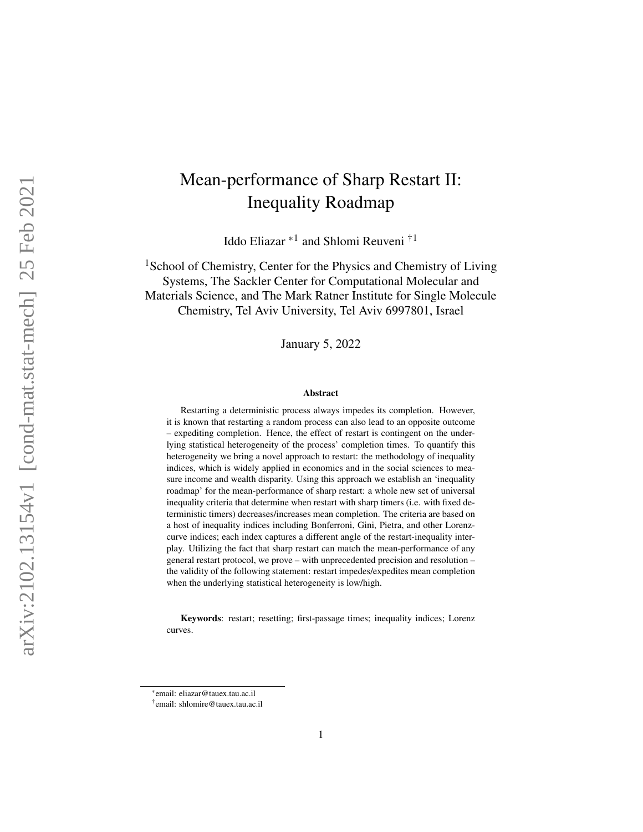# Mean-performance of Sharp Restart II: Inequality Roadmap

Iddo Eliazar \*<sup>1</sup> and Shlomi Reuveni <sup>†1</sup>

<sup>1</sup>School of Chemistry, Center for the Physics and Chemistry of Living Systems, The Sackler Center for Computational Molecular and Materials Science, and The Mark Ratner Institute for Single Molecule Chemistry, Tel Aviv University, Tel Aviv 6997801, Israel

January 5, 2022

#### Abstract

Restarting a deterministic process always impedes its completion. However, it is known that restarting a random process can also lead to an opposite outcome – expediting completion. Hence, the effect of restart is contingent on the underlying statistical heterogeneity of the process' completion times. To quantify this heterogeneity we bring a novel approach to restart: the methodology of inequality indices, which is widely applied in economics and in the social sciences to measure income and wealth disparity. Using this approach we establish an 'inequality roadmap' for the mean-performance of sharp restart: a whole new set of universal inequality criteria that determine when restart with sharp timers (i.e. with fixed deterministic timers) decreases/increases mean completion. The criteria are based on a host of inequality indices including Bonferroni, Gini, Pietra, and other Lorenzcurve indices; each index captures a different angle of the restart-inequality interplay. Utilizing the fact that sharp restart can match the mean-performance of any general restart protocol, we prove – with unprecedented precision and resolution – the validity of the following statement: restart impedes/expedites mean completion when the underlying statistical heterogeneity is low/high.

Keywords: restart; resetting; first-passage times; inequality indices; Lorenz curves.

<sup>\*</sup>email: eliazar@tauex.tau.ac.il

<sup>†</sup> email: shlomire@tauex.tau.ac.il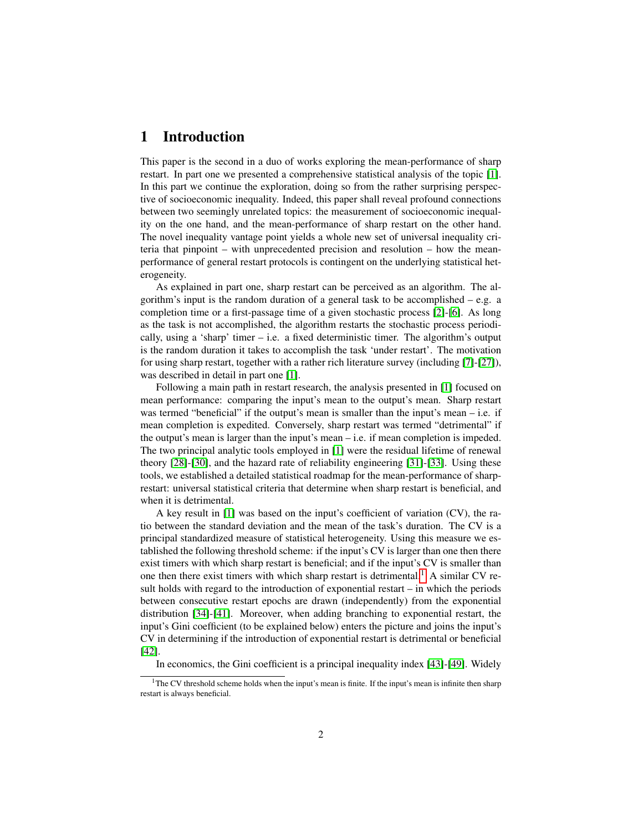# 1 Introduction

This paper is the second in a duo of works exploring the mean-performance of sharp restart. In part one we presented a comprehensive statistical analysis of the topic [\[1\]](#page-29-0). In this part we continue the exploration, doing so from the rather surprising perspective of socioeconomic inequality. Indeed, this paper shall reveal profound connections between two seemingly unrelated topics: the measurement of socioeconomic inequality on the one hand, and the mean-performance of sharp restart on the other hand. The novel inequality vantage point yields a whole new set of universal inequality criteria that pinpoint – with unprecedented precision and resolution – how the meanperformance of general restart protocols is contingent on the underlying statistical heterogeneity.

As explained in part one, sharp restart can be perceived as an algorithm. The algorithm's input is the random duration of a general task to be accomplished – e.g. a completion time or a first-passage time of a given stochastic process [\[2\]](#page-29-1)-[\[6\]](#page-29-2). As long as the task is not accomplished, the algorithm restarts the stochastic process periodically, using a 'sharp' timer  $-$  i.e. a fixed deterministic timer. The algorithm's output is the random duration it takes to accomplish the task 'under restart'. The motivation for using sharp restart, together with a rather rich literature survey (including [\[7\]](#page-29-3)-[\[27\]](#page-31-0)), was described in detail in part one [\[1\]](#page-29-0).

Following a main path in restart research, the analysis presented in [\[1\]](#page-29-0) focused on mean performance: comparing the input's mean to the output's mean. Sharp restart was termed "beneficial" if the output's mean is smaller than the input's mean – i.e. if mean completion is expedited. Conversely, sharp restart was termed "detrimental" if the output's mean is larger than the input's mean  $-i.e.$  if mean completion is impeded. The two principal analytic tools employed in [\[1\]](#page-29-0) were the residual lifetime of renewal theory [\[28\]](#page-31-1)-[\[30\]](#page-31-2), and the hazard rate of reliability engineering [\[31\]](#page-31-3)-[\[33\]](#page-31-4). Using these tools, we established a detailed statistical roadmap for the mean-performance of sharprestart: universal statistical criteria that determine when sharp restart is beneficial, and when it is detrimental.

A key result in [\[1\]](#page-29-0) was based on the input's coefficient of variation (CV), the ratio between the standard deviation and the mean of the task's duration. The CV is a principal standardized measure of statistical heterogeneity. Using this measure we established the following threshold scheme: if the input's CV is larger than one then there exist timers with which sharp restart is beneficial; and if the input's CV is smaller than one then there exist timers with which sharp restart is detrimental.<sup>[1](#page-1-0)</sup> A similar CV result holds with regard to the introduction of exponential restart – in which the periods between consecutive restart epochs are drawn (independently) from the exponential distribution [\[34\]](#page-31-5)-[\[41\]](#page-31-6). Moreover, when adding branching to exponential restart, the input's Gini coefficient (to be explained below) enters the picture and joins the input's CV in determining if the introduction of exponential restart is detrimental or beneficial [\[42\]](#page-32-0).

In economics, the Gini coefficient is a principal inequality index [\[43\]](#page-32-1)-[\[49\]](#page-32-2). Widely

<span id="page-1-0"></span><sup>&</sup>lt;sup>1</sup>The CV threshold scheme holds when the input's mean is finite. If the input's mean is infinite then sharp restart is always beneficial.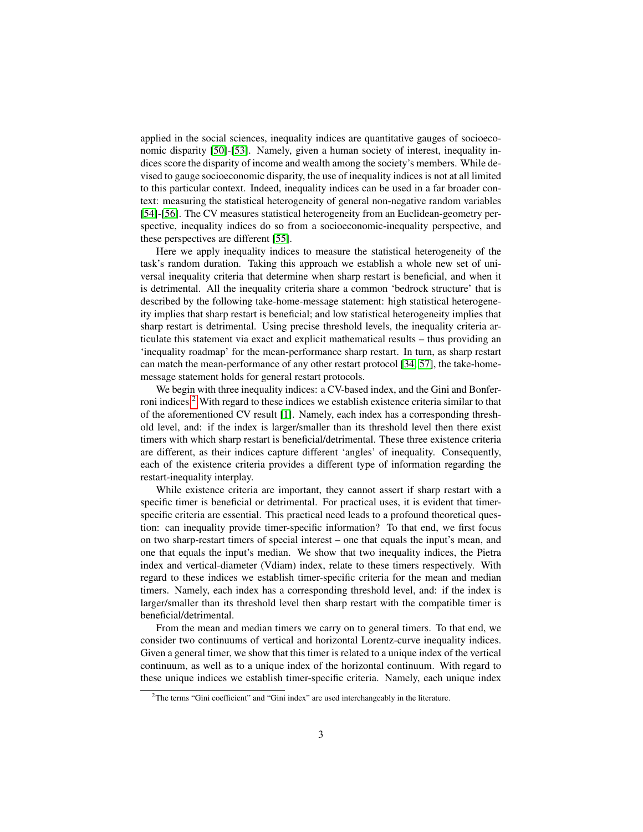applied in the social sciences, inequality indices are quantitative gauges of socioeconomic disparity [\[50\]](#page-32-3)-[\[53\]](#page-32-4). Namely, given a human society of interest, inequality indices score the disparity of income and wealth among the society's members. While devised to gauge socioeconomic disparity, the use of inequality indices is not at all limited to this particular context. Indeed, inequality indices can be used in a far broader context: measuring the statistical heterogeneity of general non-negative random variables [\[54\]](#page-32-5)-[\[56\]](#page-32-6). The CV measures statistical heterogeneity from an Euclidean-geometry perspective, inequality indices do so from a socioeconomic-inequality perspective, and these perspectives are different [\[55\]](#page-32-7).

Here we apply inequality indices to measure the statistical heterogeneity of the task's random duration. Taking this approach we establish a whole new set of universal inequality criteria that determine when sharp restart is beneficial, and when it is detrimental. All the inequality criteria share a common 'bedrock structure' that is described by the following take-home-message statement: high statistical heterogeneity implies that sharp restart is beneficial; and low statistical heterogeneity implies that sharp restart is detrimental. Using precise threshold levels, the inequality criteria articulate this statement via exact and explicit mathematical results – thus providing an 'inequality roadmap' for the mean-performance sharp restart. In turn, as sharp restart can match the mean-performance of any other restart protocol [\[34,](#page-31-5) [57\]](#page-32-8), the take-homemessage statement holds for general restart protocols.

We begin with three inequality indices: a CV-based index, and the Gini and Bonferroni indices.[2](#page-2-0) With regard to these indices we establish existence criteria similar to that of the aforementioned CV result [\[1\]](#page-29-0). Namely, each index has a corresponding threshold level, and: if the index is larger/smaller than its threshold level then there exist timers with which sharp restart is beneficial/detrimental. These three existence criteria are different, as their indices capture different 'angles' of inequality. Consequently, each of the existence criteria provides a different type of information regarding the restart-inequality interplay.

While existence criteria are important, they cannot assert if sharp restart with a specific timer is beneficial or detrimental. For practical uses, it is evident that timerspecific criteria are essential. This practical need leads to a profound theoretical question: can inequality provide timer-specific information? To that end, we first focus on two sharp-restart timers of special interest – one that equals the input's mean, and one that equals the input's median. We show that two inequality indices, the Pietra index and vertical-diameter (Vdiam) index, relate to these timers respectively. With regard to these indices we establish timer-specific criteria for the mean and median timers. Namely, each index has a corresponding threshold level, and: if the index is larger/smaller than its threshold level then sharp restart with the compatible timer is beneficial/detrimental.

From the mean and median timers we carry on to general timers. To that end, we consider two continuums of vertical and horizontal Lorentz-curve inequality indices. Given a general timer, we show that this timer is related to a unique index of the vertical continuum, as well as to a unique index of the horizontal continuum. With regard to these unique indices we establish timer-specific criteria. Namely, each unique index

<span id="page-2-0"></span><sup>2</sup>The terms "Gini coefficient" and "Gini index" are used interchangeably in the literature.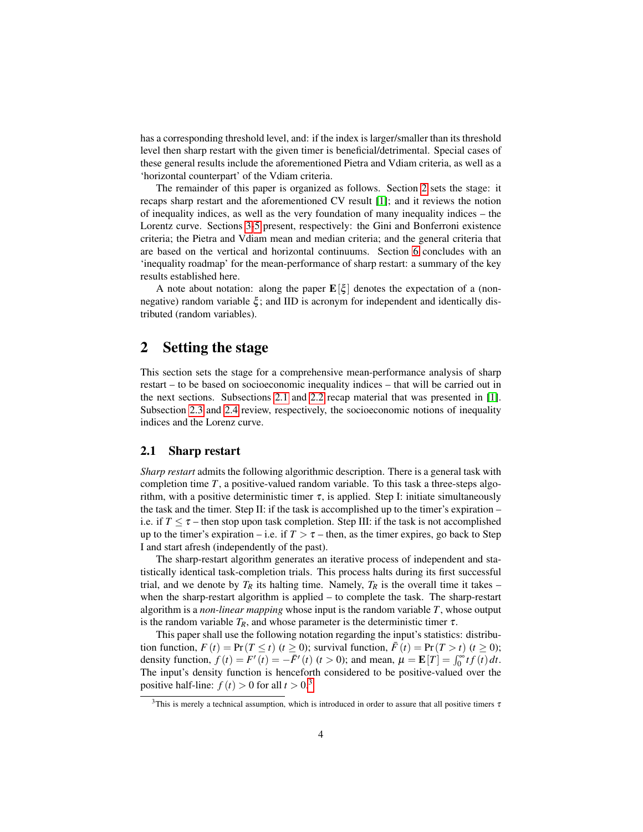has a corresponding threshold level, and: if the index is larger/smaller than its threshold level then sharp restart with the given timer is beneficial/detrimental. Special cases of these general results include the aforementioned Pietra and Vdiam criteria, as well as a 'horizontal counterpart' of the Vdiam criteria.

The remainder of this paper is organized as follows. Section [2](#page-3-0) sets the stage: it recaps sharp restart and the aforementioned CV result [\[1\]](#page-29-0); and it reviews the notion of inequality indices, as well as the very foundation of many inequality indices – the Lorentz curve. Sections [3-](#page-7-0)[5](#page-16-0) present, respectively: the Gini and Bonferroni existence criteria; the Pietra and Vdiam mean and median criteria; and the general criteria that are based on the vertical and horizontal continuums. Section [6](#page-21-0) concludes with an 'inequality roadmap' for the mean-performance of sharp restart: a summary of the key results established here.

A note about notation: along the paper  $\mathbf{E}[\xi]$  denotes the expectation of a (nonnegative) random variable  $\xi$ ; and IID is acronym for independent and identically distributed (random variables).

# <span id="page-3-0"></span>2 Setting the stage

This section sets the stage for a comprehensive mean-performance analysis of sharp restart – to be based on socioeconomic inequality indices – that will be carried out in the next sections. Subsections [2.1](#page-3-1) and [2.2](#page-4-0) recap material that was presented in [\[1\]](#page-29-0). Subsection [2.3](#page-5-0) and [2.4](#page-6-0) review, respectively, the socioeconomic notions of inequality indices and the Lorenz curve.

#### <span id="page-3-1"></span>2.1 Sharp restart

*Sharp restart* admits the following algorithmic description. There is a general task with completion time  $T$ , a positive-valued random variable. To this task a three-steps algorithm, with a positive deterministic timer  $\tau$ , is applied. Step I: initiate simultaneously the task and the timer. Step II: if the task is accomplished up to the timer's expiration  $$ i.e. if  $T \leq \tau$  – then stop upon task completion. Step III: if the task is not accomplished up to the timer's expiration – i.e. if  $T > \tau$  – then, as the timer expires, go back to Step I and start afresh (independently of the past).

The sharp-restart algorithm generates an iterative process of independent and statistically identical task-completion trials. This process halts during its first successful trial, and we denote by  $T_R$  its halting time. Namely,  $T_R$  is the overall time it takes – when the sharp-restart algorithm is applied – to complete the task. The sharp-restart algorithm is a *non-linear mapping* whose input is the random variable *T*, whose output is the random variable  $T_R$ , and whose parameter is the deterministic timer  $\tau$ .

This paper shall use the following notation regarding the input's statistics: distribution function,  $F(t) = \Pr(T \le t)$  ( $t \ge 0$ ); survival function,  $\bar{F}(t) = \Pr(T > t)$  ( $t \ge 0$ ); density function,  $f(t) = F'(t) = -\overline{F}'(t)$  ( $t > 0$ ); and mean,  $\mu = \mathbf{E}[T] = \int_0^\infty t f(t) dt$ . The input's density function is henceforth considered to be positive-valued over the positive half-line:  $f(t) > 0$  for all  $t > 0.3$  $t > 0.3$ 

<span id="page-3-2"></span><sup>&</sup>lt;sup>3</sup>This is merely a technical assumption, which is introduced in order to assure that all positive timers  $\tau$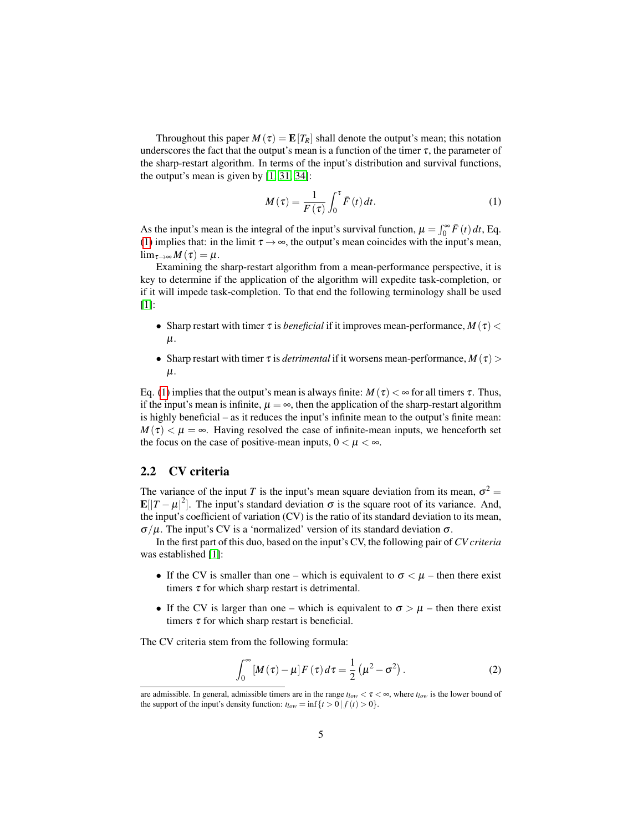Throughout this paper  $M(\tau) = \mathbb{E}[T_R]$  shall denote the output's mean; this notation underscores the fact that the output's mean is a function of the timer  $\tau$ , the parameter of the sharp-restart algorithm. In terms of the input's distribution and survival functions, the output's mean is given by [\[1,](#page-29-0) [31,](#page-31-3) [34\]](#page-31-5):

<span id="page-4-1"></span>
$$
M(\tau) = \frac{1}{F(\tau)} \int_0^{\tau} \bar{F}(t) dt.
$$
 (1)

As the input's mean is the integral of the input's survival function,  $\mu = \int_0^\infty \bar{F}(t) dt$ , Eq. [\(1\)](#page-4-1) implies that: in the limit  $\tau \rightarrow \infty$ , the output's mean coincides with the input's mean,  $\lim_{\tau\to\infty}M(\tau)=\mu.$ 

Examining the sharp-restart algorithm from a mean-performance perspective, it is key to determine if the application of the algorithm will expedite task-completion, or if it will impede task-completion. To that end the following terminology shall be used [\[1\]](#page-29-0):

- Sharp restart with timer  $\tau$  is *beneficial* if it improves mean-performance,  $M(\tau)$  <  $\mu$ .
- Sharp restart with timer  $\tau$  is *detrimental* if it worsens mean-performance,  $M(\tau)$  $\mu$ .

Eq. [\(1\)](#page-4-1) implies that the output's mean is always finite:  $M(\tau) < \infty$  for all timers  $\tau$ . Thus, if the input's mean is infinite,  $\mu = \infty$ , then the application of the sharp-restart algorithm is highly beneficial – as it reduces the input's infinite mean to the output's finite mean:  $M(\tau) < \mu = \infty$ . Having resolved the case of infinite-mean inputs, we henceforth set the focus on the case of positive-mean inputs,  $0 < \mu < \infty$ .

### <span id="page-4-0"></span>2.2 CV criteria

The variance of the input *T* is the input's mean square deviation from its mean,  $\sigma^2$  = **E**[ $|T - \mu|^2$ ]. The input's standard deviation  $\sigma$  is the square root of its variance. And, the input's coefficient of variation (CV) is the ratio of its standard deviation to its mean,  $\sigma/\mu$ . The input's CV is a 'normalized' version of its standard deviation  $\sigma$ .

In the first part of this duo, based on the input's CV, the following pair of *CV criteria* was established [\[1\]](#page-29-0):

- If the CV is smaller than one which is equivalent to  $\sigma < \mu$  then there exist timers  $\tau$  for which sharp restart is detrimental.
- If the CV is larger than one which is equivalent to  $\sigma > \mu$  then there exist timers  $\tau$  for which sharp restart is beneficial.

<span id="page-4-2"></span>The CV criteria stem from the following formula:

$$
\int_0^\infty \left[M\left(\tau\right) - \mu\right] F\left(\tau\right) d\tau = \frac{1}{2} \left(\mu^2 - \sigma^2\right). \tag{2}
$$

are admissible. In general, admissible timers are in the range  $t_{low} < \tau < \infty$ , where  $t_{low}$  is the lower bound of the support of the input's density function:  $t_{low} = \inf\{t > 0 | f(t) > 0\}.$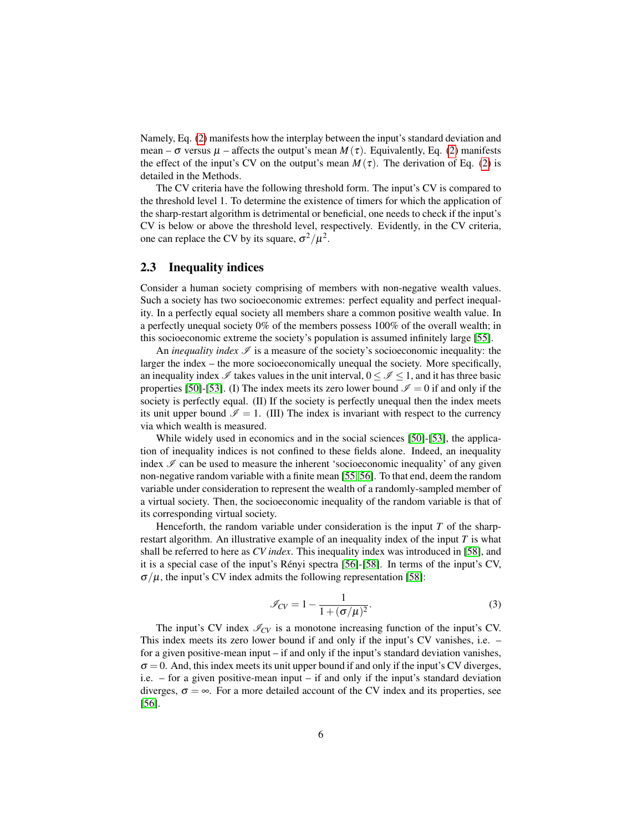Namely, Eq. [\(2\)](#page-4-2) manifests how the interplay between the input's standard deviation and mean –  $\sigma$  versus  $\mu$  – affects the output's mean  $M(\tau)$ . Equivalently, Eq. [\(2\)](#page-4-2) manifests the effect of the input's CV on the output's mean  $M(\tau)$ . The derivation of Eq. [\(2\)](#page-4-2) is detailed in the Methods.

The CV criteria have the following threshold form. The input's CV is compared to the threshold level 1. To determine the existence of timers for which the application of the sharp-restart algorithm is detrimental or beneficial, one needs to check if the input's CV is below or above the threshold level, respectively. Evidently, in the CV criteria, one can replace the CV by its square,  $\sigma^2/\mu^2$ .

### <span id="page-5-0"></span>2.3 Inequality indices

Consider a human society comprising of members with non-negative wealth values. Such a society has two socioeconomic extremes: perfect equality and perfect inequality. In a perfectly equal society all members share a common positive wealth value. In a perfectly unequal society 0% of the members possess 100% of the overall wealth; in this socioeconomic extreme the society's population is assumed infinitely large [\[55\]](#page-32-7).

An *inequality index*  $\mathcal{I}$  is a measure of the society's socioeconomic inequality: the larger the index – the more socioeconomically unequal the society. More specifically, an inequality index  $\mathscr I$  takes values in the unit interval,  $0 \leq \mathscr I \leq 1$ , and it has three basic properties [\[50\]](#page-32-3)-[\[53\]](#page-32-4). (I) The index meets its zero lower bound  $\mathcal{I} = 0$  if and only if the society is perfectly equal. (II) If the society is perfectly unequal then the index meets its unit upper bound  $\mathcal{I} = 1$ . (III) The index is invariant with respect to the currency via which wealth is measured.

While widely used in economics and in the social sciences [\[50\]](#page-32-3)-[\[53\]](#page-32-4), the application of inequality indices is not confined to these fields alone. Indeed, an inequality index  $\mathcal I$  can be used to measure the inherent 'socioeconomic inequality' of any given non-negative random variable with a finite mean [\[55,](#page-32-7) [56\]](#page-32-6). To that end, deem the random variable under consideration to represent the wealth of a randomly-sampled member of a virtual society. Then, the socioeconomic inequality of the random variable is that of its corresponding virtual society.

Henceforth, the random variable under consideration is the input *T* of the sharprestart algorithm. An illustrative example of an inequality index of the input *T* is what shall be referred to here as *CV index*. This inequality index was introduced in [\[58\]](#page-32-9), and it is a special case of the input's Renyi spectra [\[56\]](#page-32-6)-[\[58\]](#page-32-9). In terms of the input's CV, ´  $\sigma/\mu$ , the input's CV index admits the following representation [\[58\]](#page-32-9):

$$
\mathcal{I}_{CV} = 1 - \frac{1}{1 + (\sigma/\mu)^2}.
$$
\n(3)

The input's CV index  $\mathcal{I}_{CV}$  is a monotone increasing function of the input's CV. This index meets its zero lower bound if and only if the input's CV vanishes, i.e. – for a given positive-mean input – if and only if the input's standard deviation vanishes,  $\sigma = 0$ . And, this index meets its unit upper bound if and only if the input's CV diverges, i.e. – for a given positive-mean input – if and only if the input's standard deviation diverges,  $\sigma = \infty$ . For a more detailed account of the CV index and its properties, see [\[56\]](#page-32-6).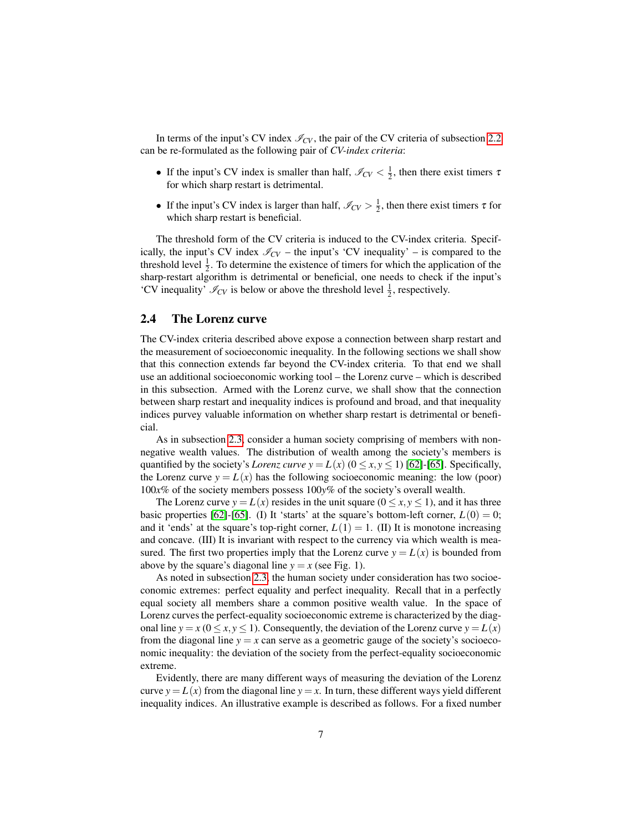In terms of the input's CV index  $\mathcal{I}_{CV}$ , the pair of the CV criteria of subsection [2.2](#page-4-0) can be re-formulated as the following pair of *CV-index criteria*:

- If the input's CV index is smaller than half,  $\mathcal{I}_{CV} < \frac{1}{2}$ , then there exist timers  $\tau$ for which sharp restart is detrimental.
- If the input's CV index is larger than half,  $\mathcal{I}_{CV} > \frac{1}{2}$ , then there exist timers  $\tau$  for which sharp restart is beneficial.

The threshold form of the CV criteria is induced to the CV-index criteria. Specifically, the input's CV index  $\mathcal{I}_{CV}$  – the input's 'CV inequality' – is compared to the threshold level  $\frac{1}{2}$ . To determine the existence of timers for which the application of the sharp-restart algorithm is detrimental or beneficial, one needs to check if the input's 'CV inequality'  $\mathcal{I}_{CV}$  is below or above the threshold level  $\frac{1}{2}$ , respectively.

### <span id="page-6-0"></span>2.4 The Lorenz curve

The CV-index criteria described above expose a connection between sharp restart and the measurement of socioeconomic inequality. In the following sections we shall show that this connection extends far beyond the CV-index criteria. To that end we shall use an additional socioeconomic working tool – the Lorenz curve – which is described in this subsection. Armed with the Lorenz curve, we shall show that the connection between sharp restart and inequality indices is profound and broad, and that inequality indices purvey valuable information on whether sharp restart is detrimental or beneficial.

As in subsection [2.3,](#page-5-0) consider a human society comprising of members with nonnegative wealth values. The distribution of wealth among the society's members is quantified by the society's *Lorenz curve*  $y = L(x)$  ( $0 \le x, y \le 1$ ) [\[62\]](#page-33-0)-[\[65\]](#page-33-1). Specifically, the Lorenz curve  $y = L(x)$  has the following socioeconomic meaning: the low (poor) 100*x*% of the society members possess 100*y*% of the society's overall wealth.

The Lorenz curve  $y = L(x)$  resides in the unit square ( $0 \le x, y \le 1$ ), and it has three basic properties [\[62\]](#page-33-0)-[\[65\]](#page-33-1). (I) It 'starts' at the square's bottom-left corner,  $L(0) = 0$ ; and it 'ends' at the square's top-right corner,  $L(1) = 1$ . (II) It is monotone increasing and concave. (III) It is invariant with respect to the currency via which wealth is measured. The first two properties imply that the Lorenz curve  $y = L(x)$  is bounded from above by the square's diagonal line  $y = x$  (see Fig. 1).

As noted in subsection [2.3,](#page-5-0) the human society under consideration has two socioeconomic extremes: perfect equality and perfect inequality. Recall that in a perfectly equal society all members share a common positive wealth value. In the space of Lorenz curves the perfect-equality socioeconomic extreme is characterized by the diagonal line  $y = x$  ( $0 \le x, y \le 1$ ). Consequently, the deviation of the Lorenz curve  $y = L(x)$ from the diagonal line  $y = x$  can serve as a geometric gauge of the society's socioeconomic inequality: the deviation of the society from the perfect-equality socioeconomic extreme.

Evidently, there are many different ways of measuring the deviation of the Lorenz curve  $y = L(x)$  from the diagonal line  $y = x$ . In turn, these different ways yield different inequality indices. An illustrative example is described as follows. For a fixed number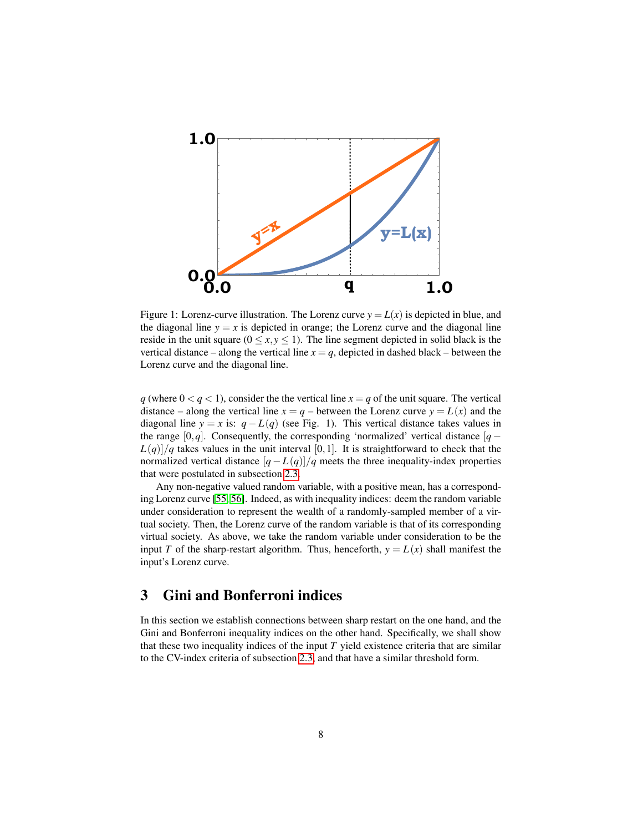

Figure 1: Lorenz-curve illustration. The Lorenz curve  $y = L(x)$  is depicted in blue, and the diagonal line  $y = x$  is depicted in orange; the Lorenz curve and the diagonal line reside in the unit square ( $0 \le x, y \le 1$ ). The line segment depicted in solid black is the vertical distance – along the vertical line  $x = q$ , depicted in dashed black – between the Lorenz curve and the diagonal line.

 $q$  (where  $0 < q < 1$ ), consider the the vertical line  $x = q$  of the unit square. The vertical distance – along the vertical line  $x = q$  – between the Lorenz curve  $y = L(x)$  and the diagonal line *y* = *x* is:  $q - L(q)$  (see Fig. 1). This vertical distance takes values in the range  $[0,q]$ . Consequently, the corresponding 'normalized' vertical distance  $[q L(q)/q$  takes values in the unit interval [0,1]. It is straightforward to check that the normalized vertical distance  $[q - L(q)]/q$  meets the three inequality-index properties that were postulated in subsection [2.3.](#page-5-0)

Any non-negative valued random variable, with a positive mean, has a corresponding Lorenz curve [\[55,](#page-32-7) [56\]](#page-32-6). Indeed, as with inequality indices: deem the random variable under consideration to represent the wealth of a randomly-sampled member of a virtual society. Then, the Lorenz curve of the random variable is that of its corresponding virtual society. As above, we take the random variable under consideration to be the input *T* of the sharp-restart algorithm. Thus, henceforth,  $y = L(x)$  shall manifest the input's Lorenz curve.

# <span id="page-7-0"></span>3 Gini and Bonferroni indices

In this section we establish connections between sharp restart on the one hand, and the Gini and Bonferroni inequality indices on the other hand. Specifically, we shall show that these two inequality indices of the input *T* yield existence criteria that are similar to the CV-index criteria of subsection [2.3,](#page-5-0) and that have a similar threshold form.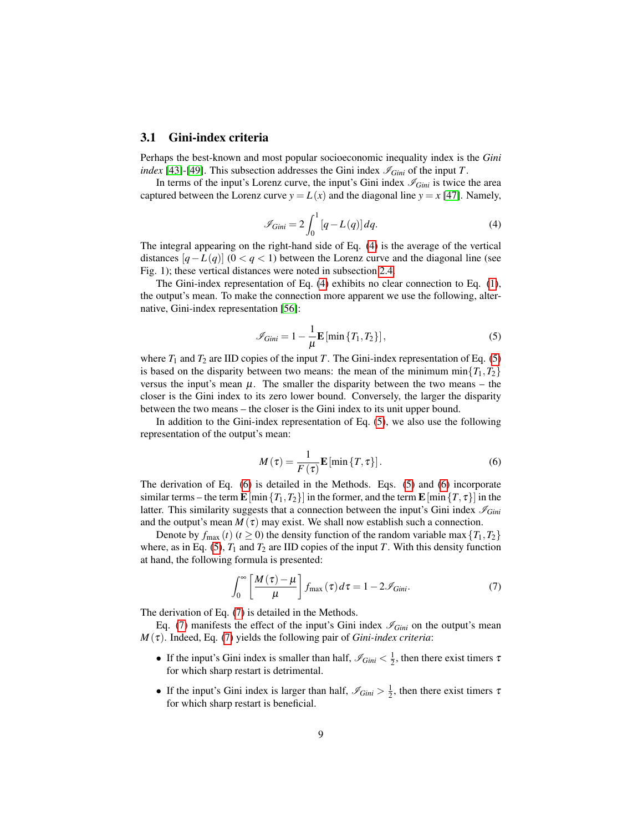#### <span id="page-8-4"></span>3.1 Gini-index criteria

Perhaps the best-known and most popular socioeconomic inequality index is the *Gini index* [\[43\]](#page-32-1)-[\[49\]](#page-32-2). This subsection addresses the Gini index  $\mathcal{I}_{Gini}$  of the input *T*.

<span id="page-8-0"></span>In terms of the input's Lorenz curve, the input's Gini index  $\mathcal{I}_{Gini}$  is twice the area captured between the Lorenz curve  $y = L(x)$  and the diagonal line  $y = x$  [\[47\]](#page-32-10). Namely,

$$
\mathcal{I}_{Gini} = 2 \int_0^1 [q - L(q)] dq.
$$
 (4)

The integral appearing on the right-hand side of Eq. [\(4\)](#page-8-0) is the average of the vertical distances  $[q - L(q)]$  (0 <  $q$  < 1) between the Lorenz curve and the diagonal line (see Fig. 1); these vertical distances were noted in subsection [2.4.](#page-6-0)

<span id="page-8-1"></span>The Gini-index representation of Eq. [\(4\)](#page-8-0) exhibits no clear connection to Eq. [\(1\)](#page-4-1), the output's mean. To make the connection more apparent we use the following, alternative, Gini-index representation [\[56\]](#page-32-6):

$$
\mathscr{I}_{Gini} = 1 - \frac{1}{\mu} \mathbf{E} \left[ \min \{ T_1, T_2 \} \right],\tag{5}
$$

where  $T_1$  and  $T_2$  are IID copies of the input *T*. The Gini-index representation of Eq. [\(5\)](#page-8-1) is based on the disparity between two means: the mean of the minimum min $\{T_1, T_2\}$ versus the input's mean  $\mu$ . The smaller the disparity between the two means – the closer is the Gini index to its zero lower bound. Conversely, the larger the disparity between the two means – the closer is the Gini index to its unit upper bound.

<span id="page-8-2"></span>In addition to the Gini-index representation of Eq. [\(5\)](#page-8-1), we also use the following representation of the output's mean:

$$
M(\tau) = \frac{1}{F(\tau)} \mathbf{E} \left[ \min \{ T, \tau \} \right]. \tag{6}
$$

The derivation of Eq. [\(6\)](#page-8-2) is detailed in the Methods. Eqs. [\(5\)](#page-8-1) and [\(6\)](#page-8-2) incorporate similar terms – the term  $\mathbf{E}$  [min $\{T_1, T_2\}$ ] in the former, and the term  $\mathbf{E}$  [min $\{T, \tau\}$ ] in the latter. This similarity suggests that a connection between the input's Gini index  $\mathcal{I}_{Gini}$ and the output's mean  $M(\tau)$  may exist. We shall now establish such a connection.

Denote by  $f_{\text{max}}(t)$  ( $t \ge 0$ ) the density function of the random variable max  $\{T_1, T_2\}$ where, as in Eq. [\(5\)](#page-8-1),  $T_1$  and  $T_2$  are IID copies of the input *T*. With this density function at hand, the following formula is presented:

<span id="page-8-3"></span>
$$
\int_0^\infty \left[ \frac{M(\tau) - \mu}{\mu} \right] f_{\text{max}}(\tau) d\tau = 1 - 2 \mathcal{I}_{Gini}.
$$
 (7)

The derivation of Eq. [\(7\)](#page-8-3) is detailed in the Methods.

Eq. [\(7\)](#page-8-3) manifests the effect of the input's Gini index  $\mathcal{I}_{Gini}$  on the output's mean *M* (τ). Indeed, Eq. [\(7\)](#page-8-3) yields the following pair of *Gini-index criteria*:

- If the input's Gini index is smaller than half,  $\mathcal{I}_{Gini} < \frac{1}{2}$ , then there exist timers  $\tau$ for which sharp restart is detrimental.
- If the input's Gini index is larger than half,  $\mathcal{I}_{Gini} > \frac{1}{2}$ , then there exist timers  $\tau$ for which sharp restart is beneficial.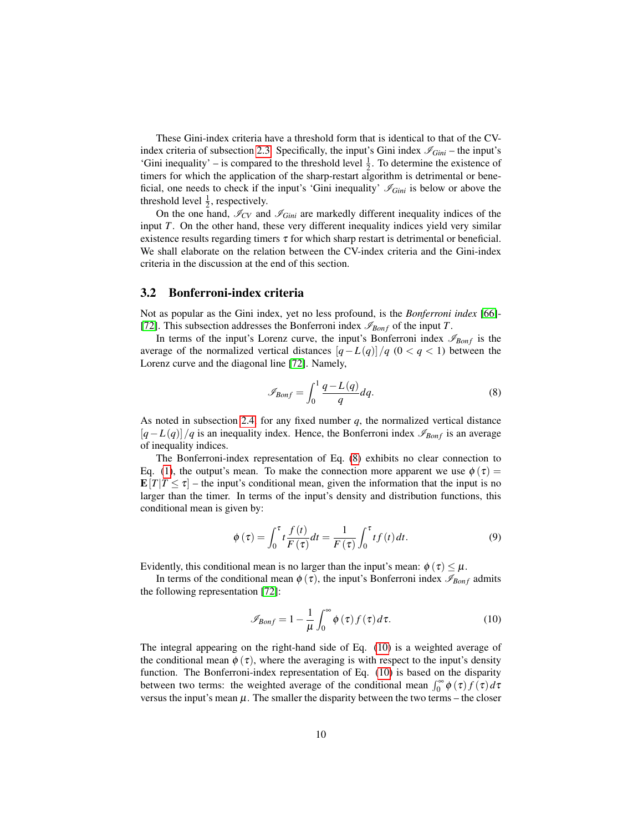These Gini-index criteria have a threshold form that is identical to that of the CV-index criteria of subsection [2.3.](#page-5-0) Specifically, the input's Gini index  $\mathcal{I}_{Gini}$  – the input's 'Gini inequality' – is compared to the threshold level  $\frac{1}{2}$ . To determine the existence of timers for which the application of the sharp-restart algorithm is detrimental or beneficial, one needs to check if the input's 'Gini inequality'  $\mathcal{I}_{Gini}$  is below or above the threshold level  $\frac{1}{2}$ , respectively.

On the one hand,  $\mathcal{I}_{CV}$  and  $\mathcal{I}_{Gini}$  are markedly different inequality indices of the input *T*. On the other hand, these very different inequality indices yield very similar existence results regarding timers  $\tau$  for which sharp restart is detrimental or beneficial. We shall elaborate on the relation between the CV-index criteria and the Gini-index criteria in the discussion at the end of this section.

### 3.2 Bonferroni-index criteria

Not as popular as the Gini index, yet no less profound, is the *Bonferroni index* [\[66\]](#page-33-2)- [\[72\]](#page-33-3). This subsection addresses the Bonferroni index  $\mathscr{I}_{Bonf}$  of the input *T*.

In terms of the input's Lorenz curve, the input's Bonferroni index  $\mathscr{I}_{Bonf}$  is the average of the normalized vertical distances  $[q - L(q)]/q$  (0 <  $q$  < 1) between the Lorenz curve and the diagonal line [\[72\]](#page-33-3). Namely,

<span id="page-9-0"></span>
$$
\mathscr{I}_{Bonf} = \int_0^1 \frac{q - L(q)}{q} dq.
$$
 (8)

As noted in subsection [2.4,](#page-6-0) for any fixed number *q*, the normalized vertical distance  $[q-L(q)]/q$  is an inequality index. Hence, the Bonferroni index  $\mathscr{I}_{Bonf}$  is an average of inequality indices.

The Bonferroni-index representation of Eq. [\(8\)](#page-9-0) exhibits no clear connection to Eq. [\(1\)](#page-4-1), the output's mean. To make the connection more apparent we use  $\phi(\tau)$  $\mathbf{E}[T|T \leq \tau]$  – the input's conditional mean, given the information that the input is no larger than the timer. In terms of the input's density and distribution functions, this conditional mean is given by:

<span id="page-9-2"></span>
$$
\phi(\tau) = \int_0^{\tau} t \frac{f(t)}{F(\tau)} dt = \frac{1}{F(\tau)} \int_0^{\tau} t f(t) dt.
$$
\n(9)

Evidently, this conditional mean is no larger than the input's mean:  $\phi(\tau) \leq \mu$ .

In terms of the conditional mean  $\phi(\tau)$ , the input's Bonferroni index  $\mathscr{I}_{Bonf}$  admits the following representation [\[72\]](#page-33-3):

<span id="page-9-1"></span>
$$
\mathscr{I}_{\text{Bonf}} = 1 - \frac{1}{\mu} \int_0^\infty \phi(\tau) f(\tau) d\tau.
$$
 (10)

The integral appearing on the right-hand side of Eq. [\(10\)](#page-9-1) is a weighted average of the conditional mean  $\phi(\tau)$ , where the averaging is with respect to the input's density function. The Bonferroni-index representation of Eq. [\(10\)](#page-9-1) is based on the disparity between two terms: the weighted average of the conditional mean  $\int_0^{\infty} \phi(\tau) f(\tau) d\tau$ versus the input's mean  $\mu$ . The smaller the disparity between the two terms – the closer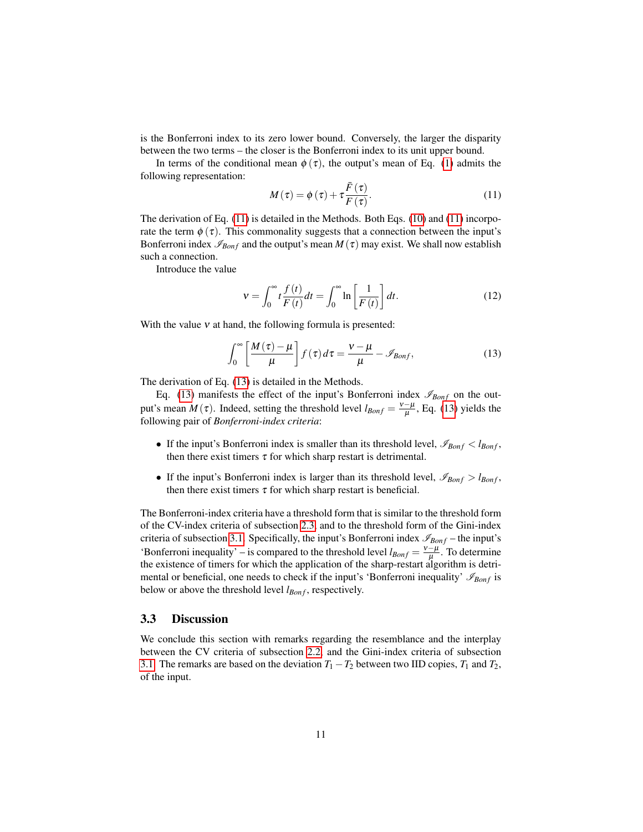is the Bonferroni index to its zero lower bound. Conversely, the larger the disparity between the two terms – the closer is the Bonferroni index to its unit upper bound.

In terms of the conditional mean  $\phi(\tau)$ , the output's mean of Eq. [\(1\)](#page-4-1) admits the following representation:

<span id="page-10-0"></span>
$$
M(\tau) = \phi(\tau) + \tau \frac{\bar{F}(\tau)}{F(\tau)}.
$$
\n(11)

The derivation of Eq. [\(11\)](#page-10-0) is detailed in the Methods. Both Eqs. [\(10\)](#page-9-1) and [\(11\)](#page-10-0) incorporate the term  $\phi(\tau)$ . This commonality suggests that a connection between the input's Bonferroni index  $\mathcal{I}_{Bonf}$  and the output's mean  $M(\tau)$  may exist. We shall now establish such a connection.

Introduce the value

<span id="page-10-2"></span><span id="page-10-1"></span>
$$
v = \int_0^\infty t \frac{f(t)}{F(t)} dt = \int_0^\infty \ln \left[ \frac{1}{F(t)} \right] dt.
$$
 (12)

With the value  $v$  at hand, the following formula is presented:

$$
\int_0^\infty \left[ \frac{M(\tau) - \mu}{\mu} \right] f(\tau) d\tau = \frac{v - \mu}{\mu} - \mathcal{I}_{Bonf},\tag{13}
$$

The derivation of Eq. [\(13\)](#page-10-1) is detailed in the Methods.

Eq. [\(13\)](#page-10-1) manifests the effect of the input's Bonferroni index  $\mathcal{I}_{Bonf}$  on the output's mean  $M(\tau)$ . Indeed, setting the threshold level  $l_{Bonf} = \frac{v - \mu}{\mu}$  $\frac{-\mu}{\mu}$ , Eq. [\(13\)](#page-10-1) yields the following pair of *Bonferroni-index criteria*:

- If the input's Bonferroni index is smaller than its threshold level,  $\mathcal{I}_{Bonf} < l_{Bonf}$ , then there exist timers  $\tau$  for which sharp restart is detrimental.
- If the input's Bonferroni index is larger than its threshold level,  $\mathscr{I}_{Bonf} > l_{Bonf}$ , then there exist timers  $\tau$  for which sharp restart is beneficial.

The Bonferroni-index criteria have a threshold form that is similar to the threshold form of the CV-index criteria of subsection [2.3,](#page-5-0) and to the threshold form of the Gini-index criteria of subsection [3.1.](#page-8-4) Specifically, the input's Bonferroni index  $\mathscr{I}_{Bonf}$  – the input's 'Bonferroni inequality' – is compared to the threshold level  $l_{Bonf} = \frac{v - \mu}{u}$  $\frac{-\mu}{\mu}$ . To determine the existence of timers for which the application of the sharp-restart algorithm is detrimental or beneficial, one needs to check if the input's 'Bonferroni inequality'  $\mathcal{I}_{Bonf}$  is below or above the threshold level *l<sub>Bonf</sub>*, respectively.

#### 3.3 Discussion

We conclude this section with remarks regarding the resemblance and the interplay between the CV criteria of subsection [2.2,](#page-4-0) and the Gini-index criteria of subsection [3.1.](#page-8-4) The remarks are based on the deviation  $T_1 - T_2$  between two IID copies,  $T_1$  and  $T_2$ , of the input.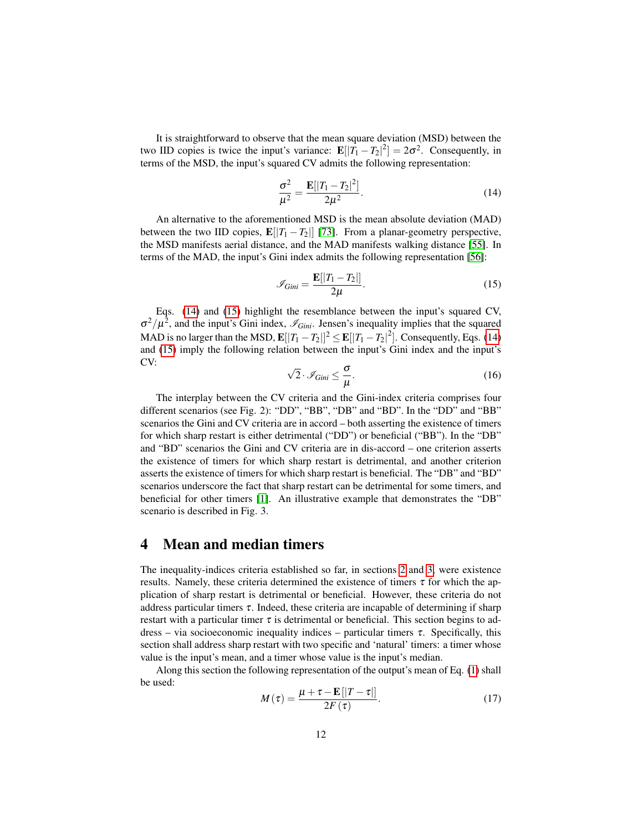It is straightforward to observe that the mean square deviation (MSD) between the two IID copies is twice the input's variance:  $\mathbf{E}[|T_1 - T_2|^2] = 2\sigma^2$ . Consequently, in terms of the MSD, the input's squared CV admits the following representation:

<span id="page-11-0"></span>
$$
\frac{\sigma^2}{\mu^2} = \frac{\mathbf{E}[|T_1 - T_2|^2]}{2\mu^2}.
$$
 (14)

An alternative to the aforementioned MSD is the mean absolute deviation (MAD) between the two IID copies,  $\mathbf{E}[|T_1 - T_2|]$  [\[73\]](#page-33-4). From a planar-geometry perspective, the MSD manifests aerial distance, and the MAD manifests walking distance [\[55\]](#page-32-7). In terms of the MAD, the input's Gini index admits the following representation [\[56\]](#page-32-6):

<span id="page-11-1"></span>
$$
\mathcal{I}_{Gini} = \frac{\mathbf{E}[|T_1 - T_2|]}{2\mu}.
$$
\n(15)

Eqs. [\(14\)](#page-11-0) and [\(15\)](#page-11-1) highlight the resemblance between the input's squared CV,  $\sigma^2/\mu^2$ , and the input's Gini index,  $\mathcal{I}_{Gini}$ . Jensen's inequality implies that the squared MAD is no larger than the MSD,  $\mathbf{E}[|T_1 - T_2|^2] \leq \mathbf{E}[|T_1 - T_2|^2]$ . Consequently, Eqs. [\(14\)](#page-11-0) and [\(15\)](#page-11-1) imply the following relation between the input's Gini index and the input's CV: √

$$
\sqrt{2} \cdot \mathcal{I}_{Gini} \le \frac{\sigma}{\mu}.\tag{16}
$$

<span id="page-11-2"></span>The interplay between the CV criteria and the Gini-index criteria comprises four different scenarios (see Fig. 2): "DD", "BB", "DB" and "BD". In the "DD" and "BB" scenarios the Gini and CV criteria are in accord – both asserting the existence of timers for which sharp restart is either detrimental ("DD") or beneficial ("BB"). In the "DB" and "BD" scenarios the Gini and CV criteria are in dis-accord – one criterion asserts the existence of timers for which sharp restart is detrimental, and another criterion asserts the existence of timers for which sharp restart is beneficial. The "DB" and "BD" scenarios underscore the fact that sharp restart can be detrimental for some timers, and beneficial for other timers [\[1\]](#page-29-0). An illustrative example that demonstrates the "DB" scenario is described in Fig. 3.

# 4 Mean and median timers

The inequality-indices criteria established so far, in sections [2](#page-3-0) and [3,](#page-7-0) were existence results. Namely, these criteria determined the existence of timers  $\tau$  for which the application of sharp restart is detrimental or beneficial. However, these criteria do not address particular timers  $\tau$ . Indeed, these criteria are incapable of determining if sharp restart with a particular timer  $\tau$  is detrimental or beneficial. This section begins to address – via socioeconomic inequality indices – particular timers  $\tau$ . Specifically, this section shall address sharp restart with two specific and 'natural' timers: a timer whose value is the input's mean, and a timer whose value is the input's median.

<span id="page-11-3"></span>Along this section the following representation of the output's mean of Eq. [\(1\)](#page-4-1) shall be used:

$$
M(\tau) = \frac{\mu + \tau - \mathbf{E}[|T - \tau|]}{2F(\tau)}.
$$
 (17)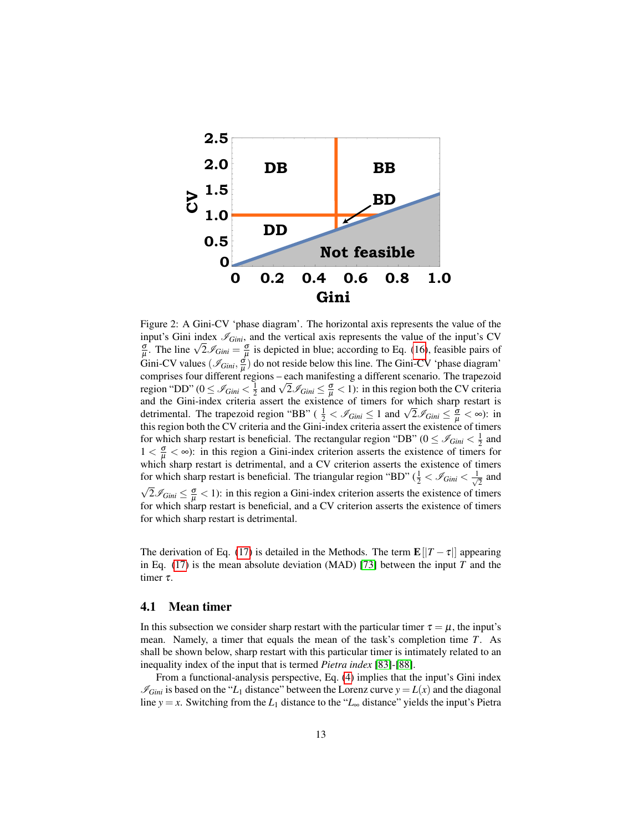

Figure 2: A Gini-CV 'phase diagram'. The horizontal axis represents the value of the input's Gini index  $\mathcal{I}_{Gini}$ , and the vertical axis represents the value of the input's CV input s Gini index  $\mathcal{S}_{Gini}$ , and the vertical axis represents the value of the input s C v<br> $\frac{\sigma}{\mu}$ . The line  $\sqrt{2} \mathcal{S}_{Gini} = \frac{\sigma}{\mu}$  is depicted in blue; according to Eq. [\(16\)](#page-11-2), feasible pairs of Gini-CV values  $(\mathcal{I}_{Gini}, \frac{\sigma}{\mu})$  do not reside below this line. The Gini-CV 'phase diagram' comprises four different regions – each manifesting a different scenario. The trapezoid comprises four different regions – each manifesting a different scenario. The trapezoid<br>region "DD" ( $0 \leq \mathcal{I}_{Gini} < \frac{1}{2}$  and  $\sqrt{2} \mathcal{I}_{Gini} \leq \frac{\sigma}{\mu} < 1$ ): in this region both the CV criteria and the Gini-index criteria assert the existence of timers for which sharp restart is and the Gini-index criteria assert the existence of timers for which sharp restart is<br>detrimental. The trapezoid region "BB" ( $\frac{1}{2} < \mathcal{I}_{Gini} \leq 1$  and  $\sqrt{2} \mathcal{I}_{Gini} \leq \frac{\sigma}{\mu} < \infty$ ): in this region both the CV criteria and the Gini-index criteria assert the existence of timers for which sharp restart is beneficial. The rectangular region "DB" ( $0 \leq \mathcal{I}_{Gini} < \frac{1}{2}$  and  $1 < \frac{\sigma}{\mu} < \infty$ ): in this region a Gini-index criterion asserts the existence of timers for which sharp restart is detrimental, and a CV criterion asserts the existence of timers for which sharp restart is beneficial. The triangular region "BD" ( $\frac{1}{2} < \mathcal{I}_{Gini} < \frac{1}{\sqrt{2}}$ for which sharp restart is beneficial. The triangular region "BD" ( $\frac{1}{2} < \mathcal{I}_{Gini} < \frac{1}{\sqrt{2}}$  and  $2\mathcal{I}_{Gini} \leq \frac{\sigma}{\mu} < 1$ ): in this region a Gini-index criterion asserts the existence of timers for which sharp restart is beneficial, and a CV criterion asserts the existence of timers for which sharp restart is detrimental.

The derivation of Eq. [\(17\)](#page-11-3) is detailed in the Methods. The term  $\mathbf{E}[|T-\tau|]$  appearing in Eq. [\(17\)](#page-11-3) is the mean absolute deviation (MAD) [\[73\]](#page-33-4) between the input *T* and the timer τ.

#### <span id="page-12-0"></span>4.1 Mean timer

In this subsection we consider sharp restart with the particular timer  $\tau = \mu$ , the input's mean. Namely, a timer that equals the mean of the task's completion time *T*. As shall be shown below, sharp restart with this particular timer is intimately related to an inequality index of the input that is termed *Pietra index* [\[83\]](#page-34-0)-[\[88\]](#page-34-1).

From a functional-analysis perspective, Eq. [\(4\)](#page-8-0) implies that the input's Gini index  $\mathscr{I}_{Gini}$  is based on the "*L*<sub>1</sub> distance" between the Lorenz curve  $y = L(x)$  and the diagonal line *y* = *x*. Switching from the *L*<sub>1</sub> distance to the "*L*<sub>∞</sub> distance" yields the input's Pietra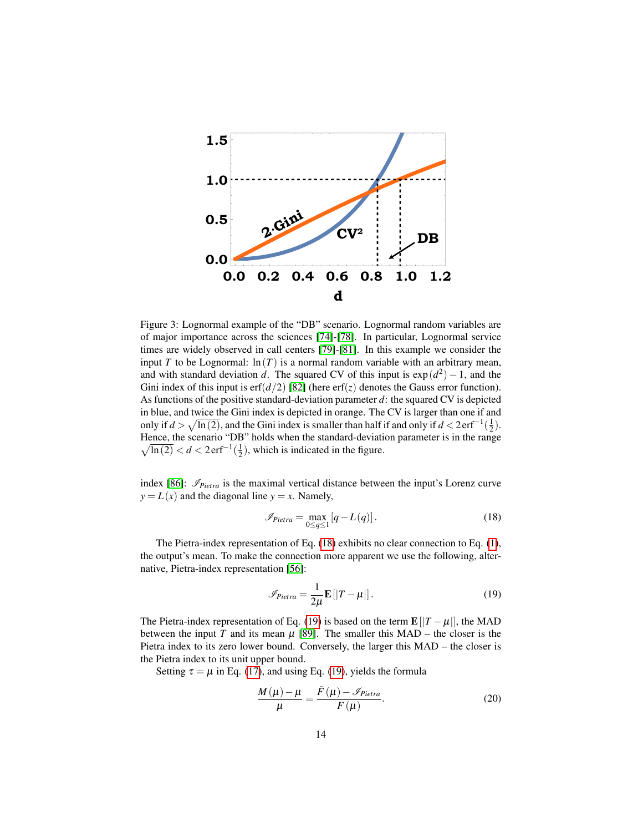

Figure 3: Lognormal example of the "DB" scenario. Lognormal random variables are of major importance across the sciences [\[74\]](#page-33-5)-[\[78\]](#page-34-2). In particular, Lognormal service times are widely observed in call centers [\[79\]](#page-34-3)-[\[81\]](#page-34-4). In this example we consider the input *T* to be Lognormal:  $ln(T)$  is a normal random variable with an arbitrary mean, and with standard deviation *d*. The squared CV of this input is  $exp(d^2) - 1$ , and the Gini index of this input is  $erf(d/2)$  [\[82\]](#page-34-5) (here  $erf(z)$  denotes the Gauss error function). As functions of the positive standard-deviation parameter *d*: the squared CV is depicted in blue, and twice the Gini index is depicted in orange. The CV is larger than one if and only if  $d > \sqrt{\ln(2)}$ , and the Gini index is smaller than half if and only if  $d < 2 \text{erf}^{-1}(\frac{1}{2})$ . Hence, the scenario "DB" holds when the standard-deviation parameter is in the range  $\sqrt{\ln(2)} < d < 2 \text{erf}^{-1}(\frac{1}{2})$ , which is indicated in the figure.

index [\[86\]](#page-34-6):  $\mathcal{I}_{Pietra}$  is the maximal vertical distance between the input's Lorenz curve  $y = L(x)$  and the diagonal line  $y = x$ . Namely,

<span id="page-13-0"></span>
$$
\mathcal{I}_{Pietra} = \max_{0 \le q \le 1} [q - L(q)]. \tag{18}
$$

The Pietra-index representation of Eq. [\(18\)](#page-13-0) exhibits no clear connection to Eq. [\(1\)](#page-4-1), the output's mean. To make the connection more apparent we use the following, alternative, Pietra-index representation [\[56\]](#page-32-6):

<span id="page-13-1"></span>
$$
\mathscr{I}_{Pietra} = \frac{1}{2\mu} \mathbf{E} [|T - \mu|]. \tag{19}
$$

The Pietra-index representation of Eq. [\(19\)](#page-13-1) is based on the term  $\mathbf{E}[\|T - \mu\|]$ , the MAD between the input *T* and its mean  $\mu$  [\[89\]](#page-34-7). The smaller this MAD – the closer is the Pietra index to its zero lower bound. Conversely, the larger this MAD – the closer is the Pietra index to its unit upper bound.

Setting  $\tau = \mu$  in Eq. [\(17\)](#page-11-3), and using Eq. [\(19\)](#page-13-1), yields the formula

<span id="page-13-2"></span>
$$
\frac{M(\mu) - \mu}{\mu} = \frac{\bar{F}(\mu) - \mathcal{I}_{Pietra}}{F(\mu)}.
$$
\n(20)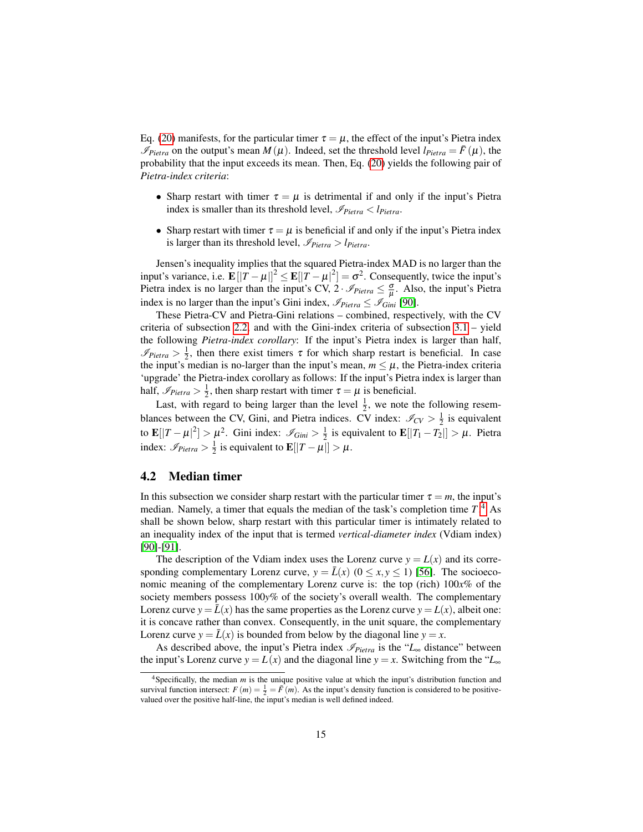Eq. [\(20\)](#page-13-2) manifests, for the particular timer  $\tau = \mu$ , the effect of the input's Pietra index  $\mathcal{I}_{Pietra}$  on the output's mean  $M(\mu)$ . Indeed, set the threshold level  $l_{Pietra} = \bar{F}(\mu)$ , the probability that the input exceeds its mean. Then, Eq. [\(20\)](#page-13-2) yields the following pair of *Pietra-index criteria*:

- Sharp restart with timer  $\tau = \mu$  is detrimental if and only if the input's Pietra index is smaller than its threshold level,  $\mathcal{I}_{Pietra} < l_{Pietra}$ .
- Sharp restart with timer  $\tau = \mu$  is beneficial if and only if the input's Pietra index is larger than its threshold level,  $\mathcal{I}_{Pietra} > l_{Pietra}$ .

Jensen's inequality implies that the squared Pietra-index MAD is no larger than the input's variance, i.e.  $\mathbf{E}[\|T - \mu\|^2] \leq \mathbf{E}[\|T - \mu\|^2] = \sigma^2$ . Consequently, twice the input's Pietra index is no larger than the input's CV,  $2 \cdot \mathcal{I}_{Pietra} \leq \frac{\sigma}{\mu}$ . Also, the input's Pietra index is no larger than the input's Gini index,  $\mathcal{I}_{Pietra} \leq \mathcal{I}_{Gini}$  [\[90\]](#page-34-8).

These Pietra-CV and Pietra-Gini relations – combined, respectively, with the CV criteria of subsection [2.2,](#page-4-0) and with the Gini-index criteria of subsection  $3.1 -$  yield the following *Pietra-index corollary*: If the input's Pietra index is larger than half,  $\mathcal{I}_{Pietra} > \frac{1}{2}$ , then there exist timers  $\tau$  for which sharp restart is beneficial. In case the input's median is no-larger than the input's mean,  $m \leq \mu$ , the Pietra-index criteria 'upgrade' the Pietra-index corollary as follows: If the input's Pietra index is larger than half,  $\mathcal{I}_{Pietra} > \frac{1}{2}$ , then sharp restart with timer  $\tau = \mu$  is beneficial.

Last, with regard to being larger than the level  $\frac{1}{2}$ , we note the following resemblances between the CV, Gini, and Pietra indices. CV index:  $\mathcal{I}_{CV} > \frac{1}{2}$  is equivalent to  $\mathbf{E}[|T-\mu|^2] > \mu^2$ . Gini index:  $\mathscr{I}_{Gini} > \frac{1}{2}$  is equivalent to  $\mathbf{E}[|T_1-T_2|] > \mu$ . Pietra index:  $\mathscr{I}_{Pietra} > \frac{1}{2}$  is equivalent to  $\mathbf{E}[|T-\mu|] > \mu$ .

#### <span id="page-14-1"></span>4.2 Median timer

In this subsection we consider sharp restart with the particular timer  $\tau = m$ , the input's median. Namely, a timer that equals the median of the task's completion time *T*. [4](#page-14-0) As shall be shown below, sharp restart with this particular timer is intimately related to an inequality index of the input that is termed *vertical-diameter index* (Vdiam index) [\[90\]](#page-34-8)-[\[91\]](#page-34-9).

The description of the Vdiam index uses the Lorenz curve  $y = L(x)$  and its corresponding complementary Lorenz curve,  $y = \bar{L}(x)$  ( $0 \le x, y \le 1$ ) [\[56\]](#page-32-6). The socioeconomic meaning of the complementary Lorenz curve is: the top (rich) 100*x*% of the society members possess 100*y*% of the society's overall wealth. The complementary Lorenz curve  $y = \bar{L}(x)$  has the same properties as the Lorenz curve  $y = L(x)$ , albeit one: it is concave rather than convex. Consequently, in the unit square, the complementary Lorenz curve  $y = \bar{L}(x)$  is bounded from below by the diagonal line  $y = x$ .

As described above, the input's Pietra index  $\mathcal{I}_{Pietra}$  is the " $L_{\infty}$  distance" between the input's Lorenz curve  $y = L(x)$  and the diagonal line  $y = x$ . Switching from the " $L_{\infty}$ "

<span id="page-14-0"></span><sup>4</sup>Specifically, the median *m* is the unique positive value at which the input's distribution function and survival function intersect:  $F(m) = \frac{1}{2} = \overline{F}(m)$ . As the input's density function is considered to be positivevalued over the positive half-line, the input's median is well defined indeed.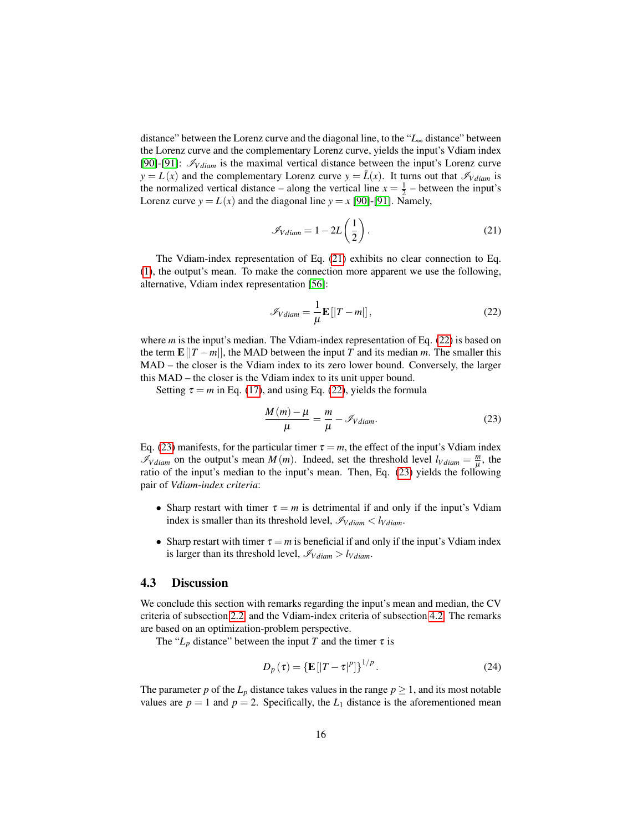distance" between the Lorenz curve and the diagonal line, to the "*L*<sup>∞</sup> distance" between the Lorenz curve and the complementary Lorenz curve, yields the input's Vdiam index [\[90\]](#page-34-8)-[\[91\]](#page-34-9):  $\mathcal{I}_{V diam}$  is the maximal vertical distance between the input's Lorenz curve  $y = L(x)$  and the complementary Lorenz curve  $y = \bar{L}(x)$ . It turns out that  $\mathscr{I}_{V \text{diam}}$  is the normalized vertical distance – along the vertical line  $x = \frac{1}{2}$  – between the input's Lorenz curve  $y = L(x)$  and the diagonal line  $y = x$  [\[90\]](#page-34-8)-[\[91\]](#page-34-9). Namely,

<span id="page-15-0"></span>
$$
\mathcal{I}_{Vdiam} = 1 - 2L\left(\frac{1}{2}\right). \tag{21}
$$

The Vdiam-index representation of Eq. [\(21\)](#page-15-0) exhibits no clear connection to Eq. [\(1\)](#page-4-1), the output's mean. To make the connection more apparent we use the following, alternative, Vdiam index representation [\[56\]](#page-32-6):

<span id="page-15-1"></span>
$$
\mathscr{I}_{Vdiam} = \frac{1}{\mu} \mathbf{E} \left[ |T - m| \right],\tag{22}
$$

where *m* is the input's median. The Vdiam-index representation of Eq. [\(22\)](#page-15-1) is based on the term  $\mathbf{E} \left[ |T - m| \right]$ , the MAD between the input *T* and its median *m*. The smaller this MAD – the closer is the Vdiam index to its zero lower bound. Conversely, the larger this MAD – the closer is the Vdiam index to its unit upper bound.

Setting  $\tau = m$  in Eq. [\(17\)](#page-11-3), and using Eq. [\(22\)](#page-15-1), yields the formula

<span id="page-15-2"></span>
$$
\frac{M(m) - \mu}{\mu} = \frac{m}{\mu} - \mathcal{I}_{Vdiam}.
$$
 (23)

Eq. [\(23\)](#page-15-2) manifests, for the particular timer  $\tau = m$ , the effect of the input's Vdiam index  $\mathscr{I}_{V \text{diam}}$  on the output's mean *M* (*m*). Indeed, set the threshold level  $l_{V \text{diam}} = \frac{m}{u}$  $\frac{m}{\mu}$ , the ratio of the input's median to the input's mean. Then, Eq. [\(23\)](#page-15-2) yields the following pair of *Vdiam-index criteria*:

- Sharp restart with timer  $\tau = m$  is detrimental if and only if the input's Vdiam index is smaller than its threshold level,  $\mathcal{I}_{V diam} < l_{V diam}$ .
- Sharp restart with timer  $\tau = m$  is beneficial if and only if the input's Vdiam index is larger than its threshold level,  $\mathcal{I}_{V diam} > l_{V diam}$ .

### 4.3 Discussion

We conclude this section with remarks regarding the input's mean and median, the CV criteria of subsection [2.2,](#page-4-0) and the Vdiam-index criteria of subsection [4.2.](#page-14-1) The remarks are based on an optimization-problem perspective.

The " $L_p$  distance" between the input *T* and the timer  $\tau$  is

$$
D_p(\tau) = {\mathbf{E}[|T-\tau|^p]}^{1/p}.
$$
 (24)

The parameter *p* of the  $L_p$  distance takes values in the range  $p \geq 1$ , and its most notable values are  $p = 1$  and  $p = 2$ . Specifically, the  $L_1$  distance is the aforementioned mean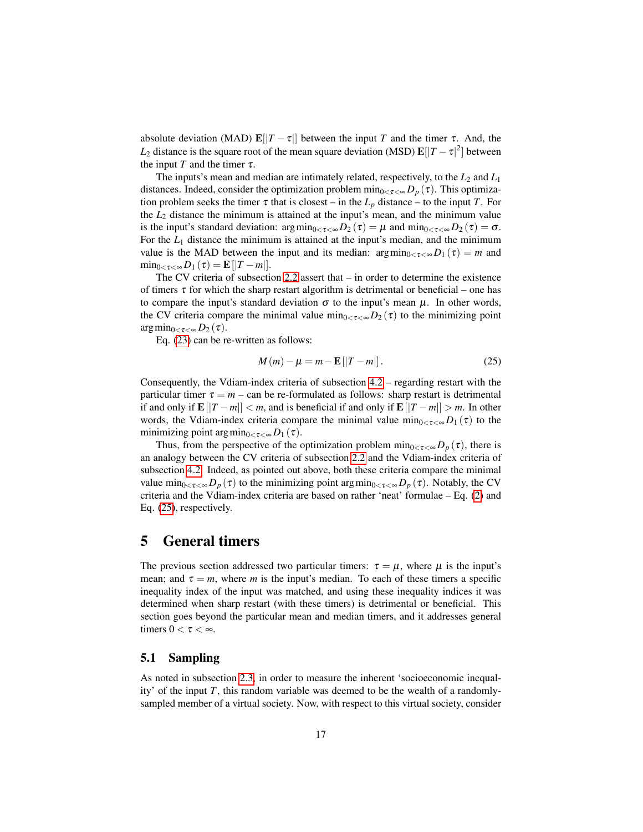absolute deviation (MAD)  $\mathbf{E}[\vert T-\tau\vert]$  between the input *T* and the timer  $\tau$ . And, the  $L_2$  distance is the square root of the mean square deviation (MSD)  $\mathbf{E}[|T-\tau|^2]$  between the input *T* and the timer  $\tau$ .

The inputs's mean and median are intimately related, respectively, to the *L*<sup>2</sup> and *L*<sup>1</sup> distances. Indeed, consider the optimization problem  $\min_{0 \leq \tau \leq \infty} D_p(\tau)$ . This optimization problem seeks the timer  $\tau$  that is closest – in the  $L_p$  distance – to the input  $T$ . For the *L*<sup>2</sup> distance the minimum is attained at the input's mean, and the minimum value is the input's standard deviation:  $\arg \min_{0 \leq \tau \leq \infty} D_2(\tau) = \mu$  and  $\min_{0 \leq \tau \leq \infty} D_2(\tau) = \sigma$ . For the *L*<sup>1</sup> distance the minimum is attained at the input's median, and the minimum value is the MAD between the input and its median:  $\arg \min_{0 \leq \tau \leq \infty} D_1(\tau) = m$  and  $\min_{0 < \tau < \infty} D_1(\tau) = \mathbf{E} [T - m].$ 

The CV criteria of subsection [2.2](#page-4-0) assert that – in order to determine the existence of timers  $\tau$  for which the sharp restart algorithm is detrimental or beneficial – one has to compare the input's standard deviation  $\sigma$  to the input's mean  $\mu$ . In other words, the CV criteria compare the minimal value  $\min_{0 \leq \tau \leq \infty} D_2(\tau)$  to the minimizing point  $\arg\min_{0<\tau<\infty}D_2(\tau)$ .

Eq. [\(23\)](#page-15-2) can be re-written as follows:

<span id="page-16-1"></span>
$$
M(m) - \mu = m - \mathbf{E}[|T - m|]. \tag{25}
$$

Consequently, the Vdiam-index criteria of subsection [4.2](#page-14-1) – regarding restart with the particular timer  $\tau = m - \text{can}$  be re-formulated as follows: sharp restart is detrimental if and only if  $\mathbf{E}[|T-m|] < m$ , and is beneficial if and only if  $\mathbf{E}[|T-m|] > m$ . In other words, the Vdiam-index criteria compare the minimal value  $\min_{0 \leq \tau \leq \infty} D_1(\tau)$  to the minimizing point  $\arg \min_{0 \leq \tau \leq \infty} D_1(\tau)$ .

Thus, from the perspective of the optimization problem  $\min_{0 \leq \tau \leq \infty} D_p(\tau)$ , there is an analogy between the CV criteria of subsection [2.2](#page-4-0) and the Vdiam-index criteria of subsection [4.2.](#page-14-1) Indeed, as pointed out above, both these criteria compare the minimal value min<sub>0<τ<∞</sub> $D_p(\tau)$  to the minimizing point argmin<sub>0<τ<∞</sub> $D_p(\tau)$ . Notably, the CV criteria and the Vdiam-index criteria are based on rather 'neat' formulae – Eq. [\(2\)](#page-4-2) and Eq. [\(25\)](#page-16-1), respectively.

## <span id="page-16-0"></span>5 General timers

The previous section addressed two particular timers:  $\tau = \mu$ , where  $\mu$  is the input's mean; and  $\tau = m$ , where *m* is the input's median. To each of these timers a specific inequality index of the input was matched, and using these inequality indices it was determined when sharp restart (with these timers) is detrimental or beneficial. This section goes beyond the particular mean and median timers, and it addresses general timers  $0 < \tau < \infty$ .

### <span id="page-16-2"></span>5.1 Sampling

As noted in subsection [2.3,](#page-5-0) in order to measure the inherent 'socioeconomic inequality' of the input *T*, this random variable was deemed to be the wealth of a randomlysampled member of a virtual society. Now, with respect to this virtual society, consider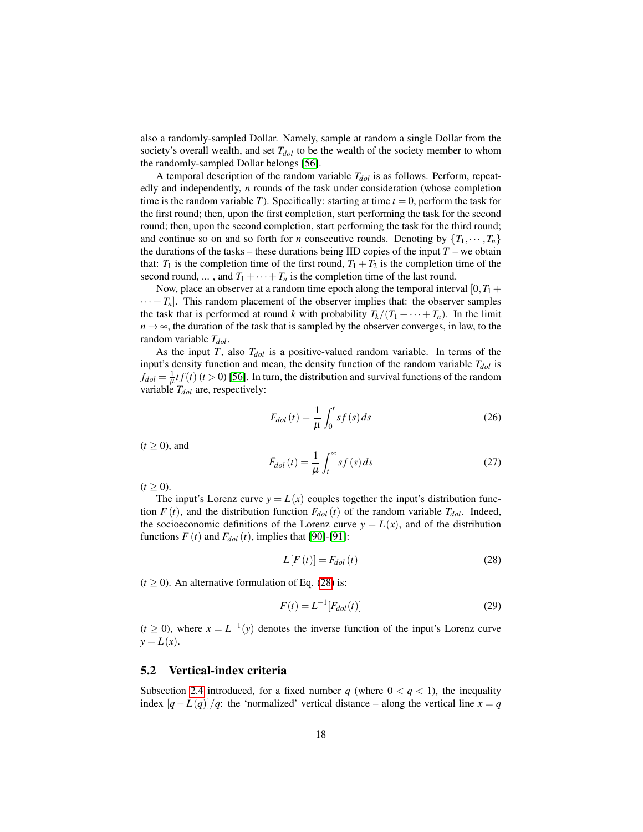also a randomly-sampled Dollar. Namely, sample at random a single Dollar from the society's overall wealth, and set  $T_{dof}$  to be the wealth of the society member to whom the randomly-sampled Dollar belongs [\[56\]](#page-32-6).

A temporal description of the random variable *Tdol* is as follows. Perform, repeatedly and independently, *n* rounds of the task under consideration (whose completion time is the random variable *T*). Specifically: starting at time  $t = 0$ , perform the task for the first round; then, upon the first completion, start performing the task for the second round; then, upon the second completion, start performing the task for the third round; and continue so on and so forth for *n* consecutive rounds. Denoting by  ${T_1, \dots, T_n}$ the durations of the tasks – these durations being IID copies of the input  $T$  – we obtain that:  $T_1$  is the completion time of the first round,  $T_1 + T_2$  is the completion time of the second round, ..., and  $T_1 + \cdots + T_n$  is the completion time of the last round.

Now, place an observer at a random time epoch along the temporal interval  $[0, T_1 +$  $\cdots + T_n$ ]. This random placement of the observer implies that: the observer samples the task that is performed at round *k* with probability  $T_k/(T_1 + \cdots + T_n)$ . In the limit  $n \rightarrow \infty$ , the duration of the task that is sampled by the observer converges, in law, to the random variable *Tdol*.

As the input *T*, also *Tdol* is a positive-valued random variable. In terms of the input's density function and mean, the density function of the random variable *Tdol* is  $f_{dol} = \frac{1}{\mu} t f(t)$  (*t* > 0) [\[56\]](#page-32-6). In turn, the distribution and survival functions of the random variable *Tdol* are, respectively:

<span id="page-17-2"></span>
$$
F_{dol}(t) = \frac{1}{\mu} \int_0^t s f(s) ds
$$
\n(26)

 $(t \geq 0)$ , and

$$
\bar{F}_{dol}(t) = \frac{1}{\mu} \int_{t}^{\infty} s f(s) ds
$$
\n(27)

 $(t > 0)$ .

The input's Lorenz curve  $y = L(x)$  couples together the input's distribution function  $F(t)$ , and the distribution function  $F_{dof}(t)$  of the random variable  $T_{dof}$ . Indeed, the socioeconomic definitions of the Lorenz curve  $y = L(x)$ , and of the distribution functions  $F(t)$  and  $F_{dol}(t)$ , implies that [\[90\]](#page-34-8)-[\[91\]](#page-34-9):

<span id="page-17-1"></span><span id="page-17-0"></span>
$$
L[F(t)] = F_{dol}(t) \tag{28}
$$

 $(t \ge 0)$ . An alternative formulation of Eq. [\(28\)](#page-17-0) is:

$$
F(t) = L^{-1}[F_{dol}(t)]
$$
\n(29)

 $(t \ge 0)$ , where  $x = L^{-1}(y)$  denotes the inverse function of the input's Lorenz curve  $y = L(x)$ .

#### 5.2 Vertical-index criteria

Subsection [2.4](#page-6-0) introduced, for a fixed number  $q$  (where  $0 < q < 1$ ), the inequality index  $[q - L(q)]/q$ : the 'normalized' vertical distance – along the vertical line  $x = q$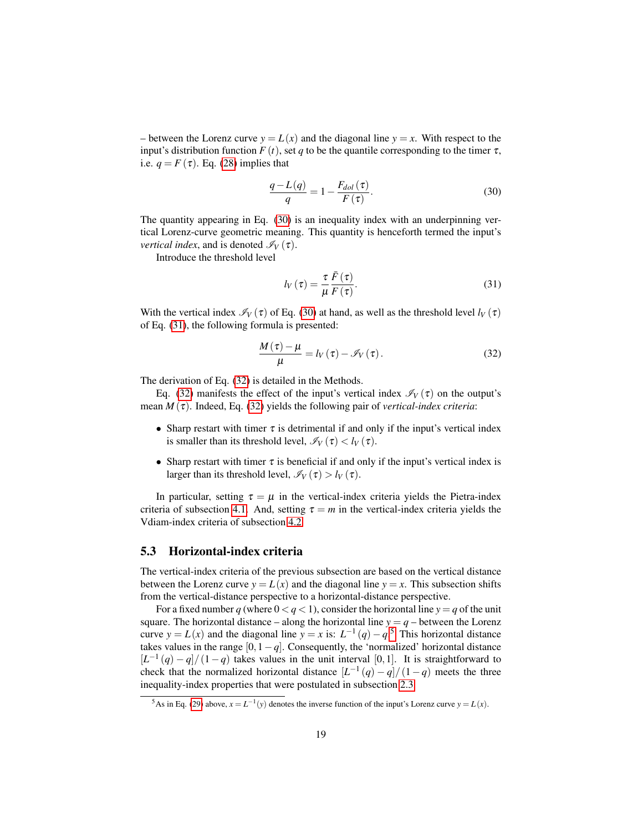– between the Lorenz curve  $y = L(x)$  and the diagonal line  $y = x$ . With respect to the input's distribution function  $F(t)$ , set q to be the quantile corresponding to the timer  $\tau$ , i.e.  $q = F(\tau)$ . Eq. [\(28\)](#page-17-0) implies that

<span id="page-18-0"></span>
$$
\frac{q - L(q)}{q} = 1 - \frac{F_{dol}(\tau)}{F(\tau)}.
$$
\n(30)

The quantity appearing in Eq. [\(30\)](#page-18-0) is an inequality index with an underpinning vertical Lorenz-curve geometric meaning. This quantity is henceforth termed the input's *vertical index*, and is denoted  $\mathcal{I}_V(\tau)$ .

Introduce the threshold level

<span id="page-18-2"></span><span id="page-18-1"></span>
$$
l_V(\tau) = \frac{\tau}{\mu} \frac{\bar{F}(\tau)}{F(\tau)}.
$$
\n(31)

With the vertical index  $\mathcal{I}_V(\tau)$  of Eq. [\(30\)](#page-18-0) at hand, as well as the threshold level  $l_V(\tau)$ of Eq. [\(31\)](#page-18-1), the following formula is presented:

$$
\frac{M(\tau) - \mu}{\mu} = l_V(\tau) - \mathcal{I}_V(\tau). \tag{32}
$$

The derivation of Eq. [\(32\)](#page-18-2) is detailed in the Methods.

Eq. [\(32\)](#page-18-2) manifests the effect of the input's vertical index  $\mathcal{I}_V(\tau)$  on the output's mean  $M(\tau)$ . Indeed, Eq. [\(32\)](#page-18-2) yields the following pair of *vertical-index criteria*:

- Sharp restart with timer  $\tau$  is detrimental if and only if the input's vertical index is smaller than its threshold level,  $\mathcal{I}_V(\tau) < l_V(\tau)$ .
- Sharp restart with timer  $\tau$  is beneficial if and only if the input's vertical index is larger than its threshold level,  $\mathcal{I}_V(\tau) > l_V(\tau)$ .

In particular, setting  $\tau = \mu$  in the vertical-index criteria yields the Pietra-index criteria of subsection [4.1.](#page-12-0) And, setting  $\tau = m$  in the vertical-index criteria yields the Vdiam-index criteria of subsection [4.2.](#page-14-1)

### 5.3 Horizontal-index criteria

The vertical-index criteria of the previous subsection are based on the vertical distance between the Lorenz curve  $y = L(x)$  and the diagonal line  $y = x$ . This subsection shifts from the vertical-distance perspective to a horizontal-distance perspective.

For a fixed number *q* (where  $0 < q < 1$ ), consider the horizontal line  $y = q$  of the unit square. The horizontal distance – along the horizontal line  $y = q$  – between the Lorenz curve  $y = L(x)$  and the diagonal line  $y = x$  is:  $L^{-1}(q) - q$ .<sup>[5](#page-18-3)</sup> This horizontal distance takes values in the range  $[0,1-q]$ . Consequently, the 'normalized' horizontal distance  $[L^{-1}(q) - q]/(1-q)$  takes values in the unit interval [0,1]. It is straightforward to check that the normalized horizontal distance  $\left[L^{-1}(q) - q\right]/(1-q)$  meets the three inequality-index properties that were postulated in subsection [2.3.](#page-5-0)

<span id="page-18-3"></span><sup>&</sup>lt;sup>5</sup>As in Eq. [\(29\)](#page-17-1) above,  $x = L^{-1}(y)$  denotes the inverse function of the input's Lorenz curve  $y = L(x)$ .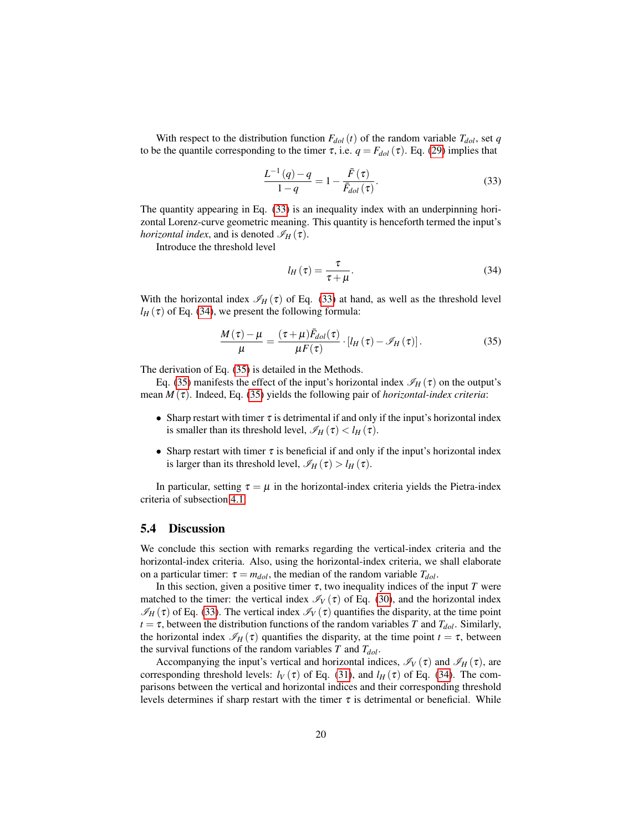With respect to the distribution function  $F_{dol}(t)$  of the random variable  $T_{dol}$ , set *q* to be the quantile corresponding to the timer  $\tau$ , i.e.  $q = F_{dol}(\tau)$ . Eq. [\(29\)](#page-17-1) implies that

<span id="page-19-0"></span>
$$
\frac{L^{-1}(q) - q}{1 - q} = 1 - \frac{\bar{F}(\tau)}{\bar{F}_{dol}(\tau)}.
$$
\n(33)

The quantity appearing in Eq. [\(33\)](#page-19-0) is an inequality index with an underpinning horizontal Lorenz-curve geometric meaning. This quantity is henceforth termed the input's *horizontal index*, and is denoted  $\mathscr{I}_H(\tau)$ .

Introduce the threshold level

<span id="page-19-2"></span><span id="page-19-1"></span>
$$
l_H(\tau) = \frac{\tau}{\tau + \mu}.
$$
\n(34)

With the horizontal index  $\mathcal{I}_H(\tau)$  of Eq. [\(33\)](#page-19-0) at hand, as well as the threshold level  $l_H(\tau)$  of Eq. [\(34\)](#page-19-1), we present the following formula:

$$
\frac{M(\tau)-\mu}{\mu} = \frac{(\tau+\mu)\bar{F}_{dol}(\tau)}{\mu F(\tau)} \cdot [l_H(\tau)-\mathscr{I}_H(\tau)].
$$
\n(35)

The derivation of Eq. [\(35\)](#page-19-2) is detailed in the Methods.

Eq. [\(35\)](#page-19-2) manifests the effect of the input's horizontal index  $\mathcal{I}_H(\tau)$  on the output's mean  $M(\tau)$ . Indeed, Eq. [\(35\)](#page-19-2) yields the following pair of *horizontal-index criteria*:

- Sharp restart with timer  $\tau$  is detrimental if and only if the input's horizontal index is smaller than its threshold level,  $\mathcal{I}_H(\tau) < l_H(\tau)$ .
- Sharp restart with timer  $\tau$  is beneficial if and only if the input's horizontal index is larger than its threshold level,  $\mathcal{I}_H(\tau) > l_H(\tau)$ .

In particular, setting  $\tau = \mu$  in the horizontal-index criteria yields the Pietra-index criteria of subsection [4.1.](#page-12-0)

### 5.4 Discussion

We conclude this section with remarks regarding the vertical-index criteria and the horizontal-index criteria. Also, using the horizontal-index criteria, we shall elaborate on a particular timer:  $\tau = m_{dol}$ , the median of the random variable  $T_{dol}$ .

In this section, given a positive timer  $\tau$ , two inequality indices of the input *T* were matched to the timer: the vertical index  $\mathcal{I}_V(\tau)$  of Eq. [\(30\)](#page-18-0), and the horizontal index  $\mathcal{I}_H(\tau)$  of Eq. [\(33\)](#page-19-0). The vertical index  $\mathcal{I}_V(\tau)$  quantifies the disparity, at the time point  $t = \tau$ , between the distribution functions of the random variables *T* and  $T_{dol}$ . Similarly, the horizontal index  $\mathscr{I}_H(\tau)$  quantifies the disparity, at the time point  $t = \tau$ , between the survival functions of the random variables *T* and *Tdol*.

Accompanying the input's vertical and horizontal indices,  $\mathcal{I}_V(\tau)$  and  $\mathcal{I}_H(\tau)$ , are corresponding threshold levels:  $l_V(\tau)$  of Eq. [\(31\)](#page-18-1), and  $l_H(\tau)$  of Eq. [\(34\)](#page-19-1). The comparisons between the vertical and horizontal indices and their corresponding threshold levels determines if sharp restart with the timer  $\tau$  is detrimental or beneficial. While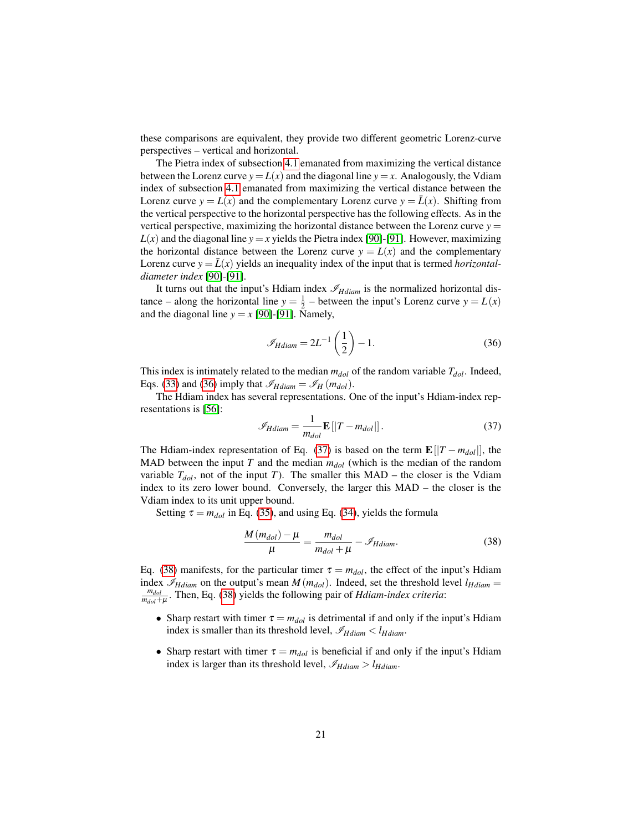these comparisons are equivalent, they provide two different geometric Lorenz-curve perspectives – vertical and horizontal.

The Pietra index of subsection [4.1](#page-12-0) emanated from maximizing the vertical distance between the Lorenz curve  $y = L(x)$  and the diagonal line  $y = x$ . Analogously, the Vdiam index of subsection [4.1](#page-12-0) emanated from maximizing the vertical distance between the Lorenz curve  $y = L(x)$  and the complementary Lorenz curve  $y = \overline{L}(x)$ . Shifting from the vertical perspective to the horizontal perspective has the following effects. As in the vertical perspective, maximizing the horizontal distance between the Lorenz curve  $y =$  $L(x)$  and the diagonal line  $y = x$  yields the Pietra index [\[90\]](#page-34-8)-[\[91\]](#page-34-9). However, maximizing the horizontal distance between the Lorenz curve  $y = L(x)$  and the complementary Lorenz curve  $y = \bar{L}(x)$  yields an inequality index of the input that is termed *horizontaldiameter index* [\[90\]](#page-34-8)-[\[91\]](#page-34-9).

It turns out that the input's Hdiam index  $\mathcal{I}_{Hdiam}$  is the normalized horizontal distance – along the horizontal line  $y = \frac{1}{2}$  – between the input's Lorenz curve  $y = L(x)$ and the diagonal line  $y = x$  [\[90\]](#page-34-8)-[\[91\]](#page-34-9). Namely,

<span id="page-20-0"></span>
$$
\mathscr{I}_{Hdiam} = 2L^{-1}\left(\frac{1}{2}\right) - 1.\tag{36}
$$

This index is intimately related to the median *mdol* of the random variable *Tdol*. Indeed, Eqs. [\(33\)](#page-19-0) and [\(36\)](#page-20-0) imply that  $\mathscr{I}_{H diam} = \mathscr{I}_{H}(m_{dol})$ .

The Hdiam index has several representations. One of the input's Hdiam-index representations is [\[56\]](#page-32-6):

<span id="page-20-1"></span>
$$
\mathscr{I}_{Hdiam} = \frac{1}{m_{dol}} \mathbf{E} \left[ |T - m_{dol}| \right]. \tag{37}
$$

The Hdiam-index representation of Eq. [\(37\)](#page-20-1) is based on the term  $\mathbf{E}[|T - m_{dol}|]$ , the MAD between the input *T* and the median  $m_{dof}$  (which is the median of the random variable  $T_{dol}$ , not of the input *T*). The smaller this MAD – the closer is the Vdiam index to its zero lower bound. Conversely, the larger this MAD – the closer is the Vdiam index to its unit upper bound.

Setting  $\tau = m_{dol}$  in Eq. [\(35\)](#page-19-2), and using Eq. [\(34\)](#page-19-1), yields the formula

<span id="page-20-2"></span>
$$
\frac{M(m_{dol}) - \mu}{\mu} = \frac{m_{dol}}{m_{dol} + \mu} - \mathcal{I}_{Hdiam}.
$$
 (38)

Eq. [\(38\)](#page-20-2) manifests, for the particular timer  $\tau = m_{dol}$ , the effect of the input's Hdiam index  $\mathcal{I}_{H diam}$  on the output's mean  $M(m_{dol})$ . Indeed, set the threshold level  $l_{H diam}$  = *mdol mdol*+µ . Then, Eq. [\(38\)](#page-20-2) yields the following pair of *Hdiam-index criteria*:

- Sharp restart with timer  $\tau = m_{dol}$  is detrimental if and only if the input's Hdiam index is smaller than its threshold level,  $\mathcal{I}_{Hdiam} < l_{Hdiam}$ .
- Sharp restart with timer  $\tau = m_{dol}$  is beneficial if and only if the input's Hdiam index is larger than its threshold level,  $\mathcal{I}_{H diam} > l_{H diam}$ .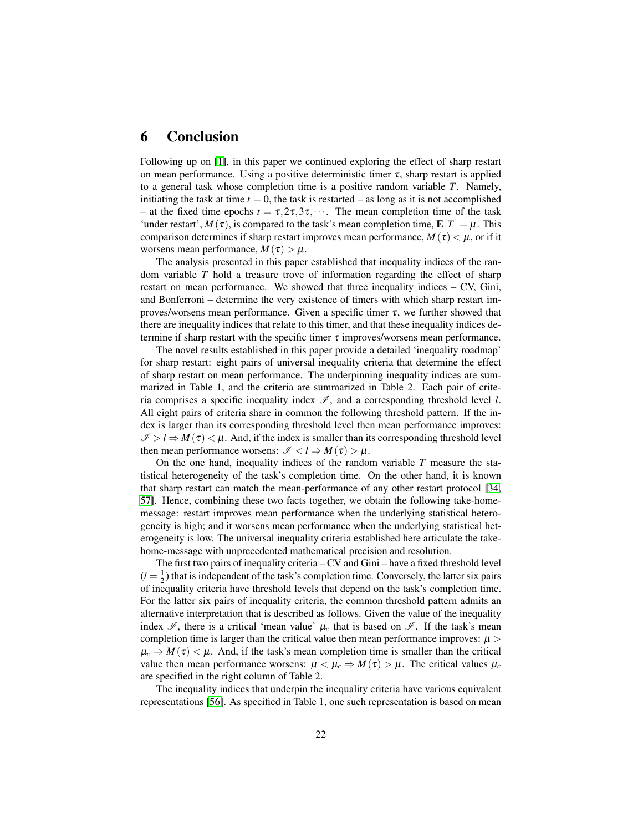# <span id="page-21-0"></span>6 Conclusion

Following up on [\[1\]](#page-29-0), in this paper we continued exploring the effect of sharp restart on mean performance. Using a positive deterministic timer  $\tau$ , sharp restart is applied to a general task whose completion time is a positive random variable *T*. Namely, initiating the task at time  $t = 0$ , the task is restarted – as long as it is not accomplished – at the fixed time epochs  $t = \tau, 2\tau, 3\tau, \cdots$ . The mean completion time of the task 'under restart',  $M(\tau)$ , is compared to the task's mean completion time,  $\mathbf{E}[T] = \mu$ . This comparison determines if sharp restart improves mean performance,  $M(\tau) < \mu$ , or if it worsens mean performance,  $M(\tau) > \mu$ .

The analysis presented in this paper established that inequality indices of the random variable *T* hold a treasure trove of information regarding the effect of sharp restart on mean performance. We showed that three inequality indices – CV, Gini, and Bonferroni – determine the very existence of timers with which sharp restart improves/worsens mean performance. Given a specific timer  $\tau$ , we further showed that there are inequality indices that relate to this timer, and that these inequality indices determine if sharp restart with the specific timer  $\tau$  improves/worsens mean performance.

The novel results established in this paper provide a detailed 'inequality roadmap' for sharp restart: eight pairs of universal inequality criteria that determine the effect of sharp restart on mean performance. The underpinning inequality indices are summarized in Table 1, and the criteria are summarized in Table 2. Each pair of criteria comprises a specific inequality index  $\mathscr{I}$ , and a corresponding threshold level *l*. All eight pairs of criteria share in common the following threshold pattern. If the index is larger than its corresponding threshold level then mean performance improves:  $\mathcal{I} > l \Rightarrow M(\tau) < \mu$ . And, if the index is smaller than its corresponding threshold level then mean performance worsens:  $\mathcal{I} < l \Rightarrow M(\tau) > \mu$ .

On the one hand, inequality indices of the random variable *T* measure the statistical heterogeneity of the task's completion time. On the other hand, it is known that sharp restart can match the mean-performance of any other restart protocol [\[34,](#page-31-5) [57\]](#page-32-8). Hence, combining these two facts together, we obtain the following take-homemessage: restart improves mean performance when the underlying statistical heterogeneity is high; and it worsens mean performance when the underlying statistical heterogeneity is low. The universal inequality criteria established here articulate the takehome-message with unprecedented mathematical precision and resolution.

The first two pairs of inequality criteria – CV and Gini – have a fixed threshold level  $(l = \frac{1}{2})$  that is independent of the task's completion time. Conversely, the latter six pairs of inequality criteria have threshold levels that depend on the task's completion time. For the latter six pairs of inequality criteria, the common threshold pattern admits an alternative interpretation that is described as follows. Given the value of the inequality index  $\mathscr I$ , there is a critical 'mean value'  $\mu_c$  that is based on  $\mathscr I$ . If the task's mean completion time is larger than the critical value then mean performance improves:  $\mu$  >  $\mu_c \Rightarrow M(\tau) < \mu$ . And, if the task's mean completion time is smaller than the critical value then mean performance worsens:  $\mu < \mu_c \Rightarrow M(\tau) > \mu$ . The critical values  $\mu_c$ are specified in the right column of Table 2.

The inequality indices that underpin the inequality criteria have various equivalent representations [\[56\]](#page-32-6). As specified in Table 1, one such representation is based on mean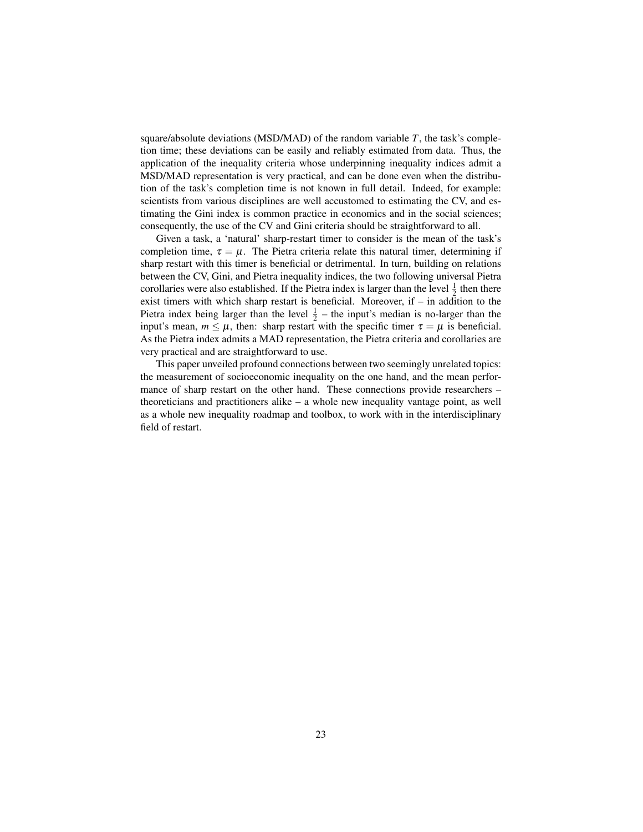square/absolute deviations (MSD/MAD) of the random variable *T*, the task's completion time; these deviations can be easily and reliably estimated from data. Thus, the application of the inequality criteria whose underpinning inequality indices admit a MSD/MAD representation is very practical, and can be done even when the distribution of the task's completion time is not known in full detail. Indeed, for example: scientists from various disciplines are well accustomed to estimating the CV, and estimating the Gini index is common practice in economics and in the social sciences; consequently, the use of the CV and Gini criteria should be straightforward to all.

Given a task, a 'natural' sharp-restart timer to consider is the mean of the task's completion time,  $\tau = \mu$ . The Pietra criteria relate this natural timer, determining if sharp restart with this timer is beneficial or detrimental. In turn, building on relations between the CV, Gini, and Pietra inequality indices, the two following universal Pietra corollaries were also established. If the Pietra index is larger than the level  $\frac{1}{2}$  then there exist timers with which sharp restart is beneficial. Moreover, if – in addition to the Pietra index being larger than the level  $\frac{1}{2}$  – the input's median is no-larger than the input's mean,  $m \leq \mu$ , then: sharp restart with the specific timer  $\tau = \mu$  is beneficial. As the Pietra index admits a MAD representation, the Pietra criteria and corollaries are very practical and are straightforward to use.

This paper unveiled profound connections between two seemingly unrelated topics: the measurement of socioeconomic inequality on the one hand, and the mean performance of sharp restart on the other hand. These connections provide researchers – theoreticians and practitioners alike – a whole new inequality vantage point, as well as a whole new inequality roadmap and toolbox, to work with in the interdisciplinary field of restart.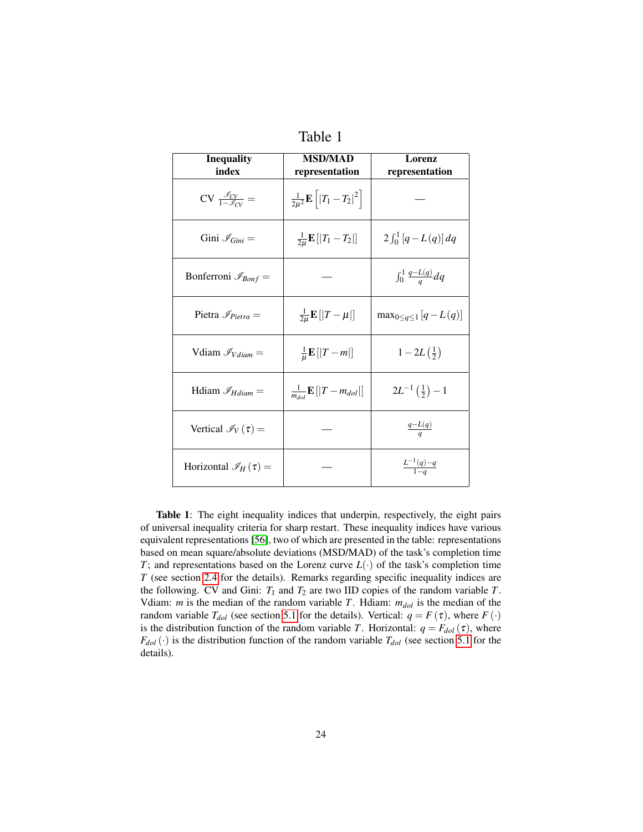| <b>Inequality</b><br>index                         | <b>MSD/MAD</b><br>representation                | Lorenz<br>representation          |  |
|----------------------------------------------------|-------------------------------------------------|-----------------------------------|--|
| $CV \frac{\mathscr{I}_{CV}}{1-\mathscr{I}_{CV}} =$ | $\frac{1}{2\mu^2} \mathbf{E}    T_1 - T_2 ^2  $ |                                   |  |
| Gini $\mathcal{I}_{Gini} =$                        | $\frac{1}{2u}$ <b>E</b> [  $T_1 - T_2$ ]        | $2 \int_0^1 [q-L(q)] dq$          |  |
| Bonferroni $\mathcal{I}_{Bonf} =$                  |                                                 | $\int_0^1 \frac{q-L(q)}{q}dq$     |  |
| Pietra $\mathcal{I}_{Pietra}$ =                    | $\frac{1}{2\mu} \mathbf{E} [  T - \mu  ]$       | $\max_{0 \leq q \leq 1} [q-L(q)]$ |  |
| Vdiam $\mathcal{I}_{Vdiam}$ =                      | $\frac{1}{\mu} \mathbf{E} [  T-m  ]$            | $1 - 2L(\frac{1}{2})$             |  |
| Hdiam $\mathcal{I}_{H diam} =$                     | $\frac{1}{m_{d-1}}\mathbf{E}[ T-m_{d0} ]$       | $2L^{-1}(\frac{1}{2})-1$          |  |
| Vertical $\mathcal{I}_V(\tau) =$                   |                                                 | $rac{q-L(q)}{q}$                  |  |
| Horizontal $\mathscr{I}_H(\tau) =$                 |                                                 | $\frac{L^{-1}(q)-q}{1-q}$         |  |

| able |
|------|
|------|

Table 1: The eight inequality indices that underpin, respectively, the eight pairs of universal inequality criteria for sharp restart. These inequality indices have various equivalent representations [\[56\]](#page-32-6), two of which are presented in the table: representations based on mean square/absolute deviations (MSD/MAD) of the task's completion time *T*; and representations based on the Lorenz curve  $L(\cdot)$  of the task's completion time *T* (see section [2.4](#page-6-0) for the details). Remarks regarding specific inequality indices are the following. CV and Gini:  $T_1$  and  $T_2$  are two IID copies of the random variable  $T$ . Vdiam: *m* is the median of the random variable *T*. Hdiam: *mdol* is the median of the random variable  $T_{dol}$  (see section [5.1](#page-16-2) for the details). Vertical:  $q = F(\tau)$ , where  $F(\cdot)$ is the distribution function of the random variable *T*. Horizontal:  $q = F_{dot}(\tau)$ , where  $F_{dol}(\cdot)$  is the distribution function of the random variable  $T_{dol}$  (see section [5.1](#page-16-2) for the details).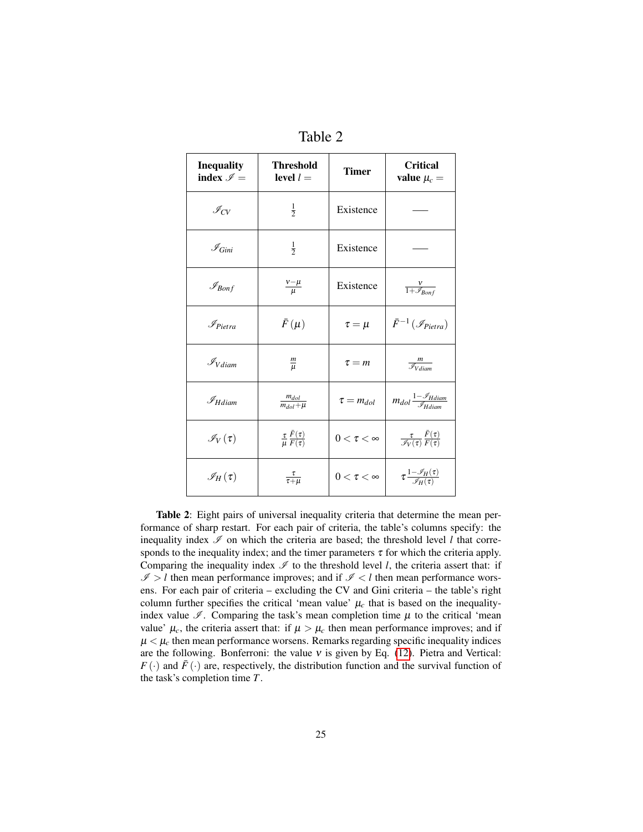| <b>Inequality</b><br>index $\mathcal{I} =$ | <b>Threshold</b><br>level $l=$                         | <b>Timer</b>     | <b>Critical</b><br>value $\mu_c =$                                     |
|--------------------------------------------|--------------------------------------------------------|------------------|------------------------------------------------------------------------|
| $\mathscr{I}_{CV}$                         | $\frac{1}{2}$                                          | Existence        |                                                                        |
| $\mathscr{I}_{Gini}$                       | $\frac{1}{2}$                                          | Existence        |                                                                        |
| $\mathcal{I}_{Bonf}$                       | $\frac{v-\mu}{\mu}$                                    | Existence        | $\frac{V}{1+\mathscr{I}_{Bonf}}$                                       |
| $\mathscr{I}_{Pietra}$                     | $\bar{F}(\mu)$                                         | $\tau = \mu$     | $\bar{F}^{-1}\left(\mathcal{I}_{Pietra}\right)$                        |
| $\mathcal{I}_{V diam}$                     | $\frac{m}{\mu}$                                        | $\tau = m$       | $\frac{m}{\mathcal{I}_{V diam}}$                                       |
| $\mathscr{I}_{H diam}$                     | $\frac{m_{dol}}{m_{dol} + \mu}$                        | $\tau = m_{dol}$ | $m_{dol}\frac{1-\mathscr{I}_{H diam}}{\mathscr{I}_{H diam}}$           |
| $\mathscr{I}_V(\tau)$                      | $\frac{\tau}{\mu} \frac{\bar{F}(\tau)}{\bar{F}(\tau)}$ | $0<\tau<\infty$  | $\frac{\tau}{\mathscr{I}_V(\tau)} \frac{\bar{F}(\tau)}{\bar{F}(\tau)}$ |
| $\mathscr{I}_H(\tau)$                      | $rac{\tau}{\tau+\mu}$                                  | $0<\tau<\infty$  | $\tau \frac{1-\mathscr{I}_H(\tau)}{\mathscr{I}_H(\tau)}$               |

Table 2

Table 2: Eight pairs of universal inequality criteria that determine the mean performance of sharp restart. For each pair of criteria, the table's columns specify: the inequality index  $\mathcal I$  on which the criteria are based; the threshold level *l* that corresponds to the inequality index; and the timer parameters  $\tau$  for which the criteria apply. Comparing the inequality index  $\mathscr I$  to the threshold level *l*, the criteria assert that: if  $I > l$  then mean performance improves; and if  $I < l$  then mean performance worsens. For each pair of criteria – excluding the CV and Gini criteria – the table's right column further specifies the critical 'mean value'  $\mu_c$  that is based on the inequalityindex value  $\mathcal{I}$ . Comparing the task's mean completion time  $\mu$  to the critical 'mean value'  $\mu_c$ , the criteria assert that: if  $\mu > \mu_c$  then mean performance improves; and if  $\mu < \mu_c$  then mean performance worsens. Remarks regarding specific inequality indices are the following. Bonferroni: the value  $v$  is given by Eq. [\(12\)](#page-10-2). Pietra and Vertical:  $F(\cdot)$  and  $\bar{F}(\cdot)$  are, respectively, the distribution function and the survival function of the task's completion time *T*.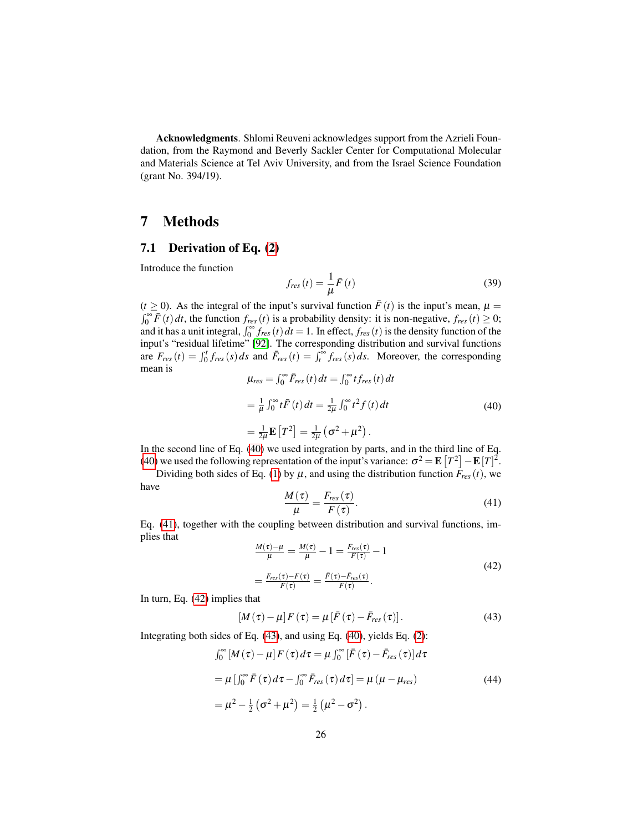Acknowledgments. Shlomi Reuveni acknowledges support from the Azrieli Foundation, from the Raymond and Beverly Sackler Center for Computational Molecular and Materials Science at Tel Aviv University, and from the Israel Science Foundation (grant No. 394/19).

# 7 Methods

### 7.1 Derivation of Eq. [\(2\)](#page-4-2)

Introduce the function

$$
f_{res}(t) = \frac{1}{\mu}\bar{F}(t)
$$
\n(39)

<span id="page-25-0"></span> $(t \ge 0)$ . As the integral of the input's survival function  $\bar{F}(t)$  is the input's mean,  $\mu =$  $\int_0^\infty \overline{F}(t) dt$ , the function  $f_{res}(t)$  is a probability density: it is non-negative,  $f_{res}(t) \ge 0$ ; and it has a unit integral,  $\int_0^\infty f_{res}(t) dt = 1$ . In effect,  $f_{res}(t)$  is the density function of the input's "residual lifetime" [\[92\]](#page-34-10). The corresponding distribution and survival functions are  $F_{res}(t) = \int_0^t f_{res}(s) ds$  and  $\bar{F}_{res}(t) = \int_t^{\infty} f_{res}(s) ds$ . Moreover, the corresponding mean is

$$
\mu_{res} = \int_0^\infty \bar{F}_{res}(t) dt = \int_0^\infty t f_{res}(t) dt
$$
  
=  $\frac{1}{\mu} \int_0^\infty t \bar{F}(t) dt = \frac{1}{2\mu} \int_0^\infty t^2 f(t) dt$   
=  $\frac{1}{2\mu} \mathbf{E} [T^2] = \frac{1}{2\mu} (\sigma^2 + \mu^2).$  (40)

In the second line of Eq. [\(40\)](#page-25-0) we used integration by parts, and in the third line of Eq. [\(40\)](#page-25-0) we used the following representation of the input's variance:  $\sigma^2 = \mathbf{E}[T^2] - \mathbf{E}[T]^2$ .

<span id="page-25-1"></span>Dividing both sides of Eq. [\(1\)](#page-4-1) by  $\mu$ , and using the distribution function  $\bar{F}_{res}(t)$ , we have

$$
\frac{M(\tau)}{\mu} = \frac{F_{res}(\tau)}{F(\tau)}.
$$
\n(41)

<span id="page-25-2"></span>Eq. [\(41\)](#page-25-1), together with the coupling between distribution and survival functions, implies that

$$
\frac{M(\tau)-\mu}{\mu} = \frac{M(\tau)}{\mu} - 1 = \frac{F_{res}(\tau)}{F(\tau)} - 1
$$
\n
$$
= \frac{F_{res}(\tau)-F(\tau)}{F(\tau)} = \frac{\bar{F}(\tau)-\bar{F}_{res}(\tau)}{F(\tau)}.
$$
\n(42)

In turn, Eq. [\(42\)](#page-25-2) implies that

<span id="page-25-3"></span>
$$
\left[M\left(\tau\right)-\mu\right]F\left(\tau\right)=\mu\left[\bar{F}\left(\tau\right)-\bar{F}_{res}\left(\tau\right)\right].\tag{43}
$$

Integrating both sides of Eq. [\(43\)](#page-25-3), and using Eq. [\(40\)](#page-25-0), yields Eq. [\(2\)](#page-4-2):

$$
\int_0^\infty [M(\tau) - \mu] F(\tau) d\tau = \mu \int_0^\infty [\bar{F}(\tau) - \bar{F}_{res}(\tau)] d\tau
$$
  
=  $\mu [\int_0^\infty \bar{F}(\tau) d\tau - \int_0^\infty \bar{F}_{res}(\tau) d\tau] = \mu (\mu - \mu_{res})$   
=  $\mu^2 - \frac{1}{2} (\sigma^2 + \mu^2) = \frac{1}{2} (\mu^2 - \sigma^2).$  (44)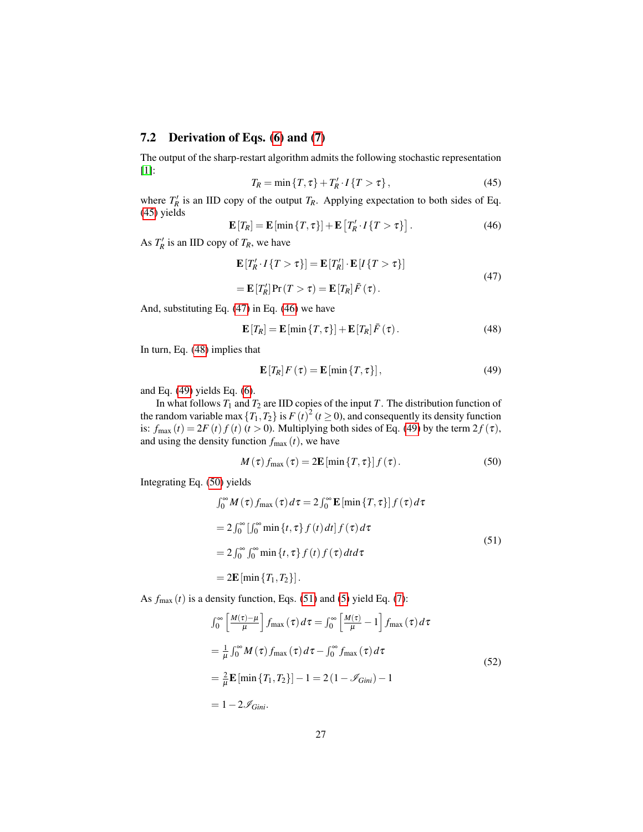### 7.2 Derivation of Eqs. [\(6\)](#page-8-2) and [\(7\)](#page-8-3)

<span id="page-26-0"></span>The output of the sharp-restart algorithm admits the following stochastic representation [\[1\]](#page-29-0):

$$
T_R = \min\{T, \tau\} + T'_R \cdot I\{T > \tau\},\tag{45}
$$

where  $T'_R$  is an IID copy of the output  $T_R$ . Applying expectation to both sides of Eq. [\(45\)](#page-26-0) yields

<span id="page-26-2"></span>
$$
\mathbf{E}[T_R] = \mathbf{E}[\min\{T,\tau\}] + \mathbf{E}[T_R' \cdot I\{T > \tau\}]. \tag{46}
$$

As  $T'_R$  is an IID copy of  $T_R$ , we have

<span id="page-26-1"></span>
$$
\mathbf{E}[T'_R \cdot I\{T > \tau\}] = \mathbf{E}[T'_R] \cdot \mathbf{E}[I\{T > \tau\}]
$$
  
= 
$$
\mathbf{E}[T'_R] \Pr(T > \tau) = \mathbf{E}[T_R] \bar{F}(\tau).
$$
 (47)

And, substituting Eq. [\(47\)](#page-26-1) in Eq. [\(46\)](#page-26-2) we have

<span id="page-26-3"></span>
$$
\mathbf{E}[T_R] = \mathbf{E}[\min\{T,\tau\}] + \mathbf{E}[T_R]\bar{F}(\tau).
$$
 (48)

In turn, Eq. [\(48\)](#page-26-3) implies that

<span id="page-26-4"></span>
$$
\mathbf{E}[T_R]F(\tau) = \mathbf{E}[\min\{T,\tau\}],
$$
\n(49)

and Eq. [\(49\)](#page-26-4) yields Eq. [\(6\)](#page-8-2).

In what follows  $T_1$  and  $T_2$  are IID copies of the input  $T$ . The distribution function of the random variable max  $\{T_1, T_2\}$  is  $F(t)^2$  ( $t \ge 0$ ), and consequently its density function is:  $f_{\text{max}}(t) = 2F(t)f(t)$   $(t > 0)$ . Multiplying both sides of Eq. [\(49\)](#page-26-4) by the term  $2f(\tau)$ , and using the density function  $f_{\text{max}}(t)$ , we have

<span id="page-26-6"></span><span id="page-26-5"></span>
$$
M(\tau) f_{\text{max}}(\tau) = 2\mathbf{E}[\min\{T,\tau\}] f(\tau). \tag{50}
$$

Integrating Eq. [\(50\)](#page-26-5) yields

$$
\int_0^\infty M(\tau) f_{\text{max}}(\tau) d\tau = 2 \int_0^\infty \mathbf{E} [\min \{T, \tau\}] f(\tau) d\tau
$$
  
\n
$$
= 2 \int_0^\infty \left[ \int_0^\infty \min \{t, \tau\} f(t) dt \right] f(\tau) d\tau
$$
  
\n
$$
= 2 \int_0^\infty \int_0^\infty \min \{t, \tau\} f(t) f(\tau) dt d\tau
$$
  
\n
$$
= 2 \mathbf{E} [\min \{T_1, T_2\}].
$$
\n(51)

As  $f_{\text{max}}(t)$  is a density function, Eqs. [\(51\)](#page-26-6) and [\(5\)](#page-8-1) yield Eq. [\(7\)](#page-8-3):

$$
\int_0^\infty \left[ \frac{M(\tau) - \mu}{\mu} \right] f_{\text{max}}(\tau) d\tau = \int_0^\infty \left[ \frac{M(\tau)}{\mu} - 1 \right] f_{\text{max}}(\tau) d\tau
$$
  
\n
$$
= \frac{1}{\mu} \int_0^\infty M(\tau) f_{\text{max}}(\tau) d\tau - \int_0^\infty f_{\text{max}}(\tau) d\tau
$$
  
\n
$$
= \frac{2}{\mu} \mathbf{E} \left[ \min \{ T_1, T_2 \} \right] - 1 = 2 \left( 1 - \mathcal{I}_{Gini} \right) - 1
$$
  
\n
$$
= 1 - 2 \mathcal{I}_{Gini}.
$$
\n(52)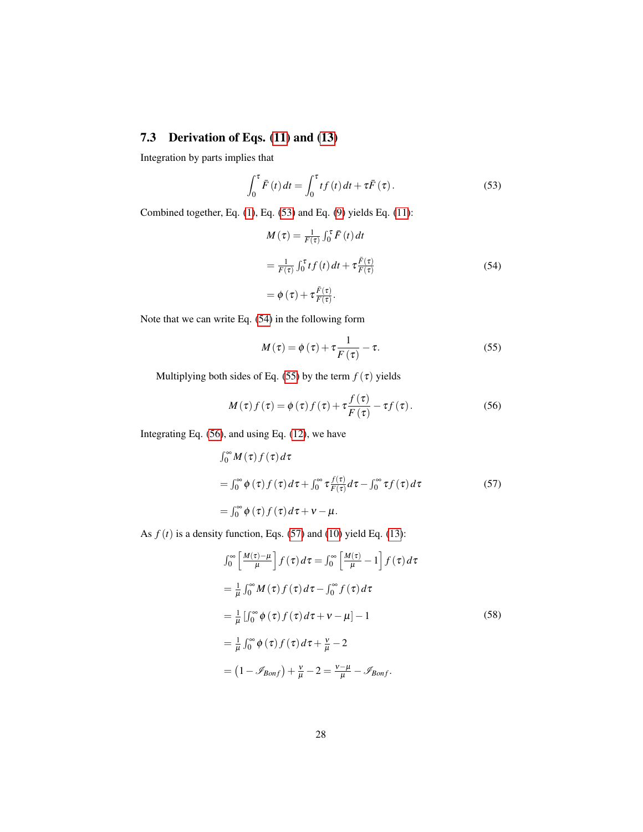# 7.3 Derivation of Eqs. [\(11\)](#page-10-0) and [\(13\)](#page-10-1)

Integration by parts implies that

<span id="page-27-0"></span>
$$
\int_0^{\tau} \bar{F}(t) dt = \int_0^{\tau} t f(t) dt + \tau \bar{F}(\tau).
$$
 (53)

Combined together, Eq. [\(1\)](#page-4-1), Eq. [\(53\)](#page-27-0) and Eq. [\(9\)](#page-9-2) yields Eq. [\(11\)](#page-10-0):

<span id="page-27-1"></span>
$$
M(\tau) = \frac{1}{F(\tau)} \int_0^{\tau} \bar{F}(t) dt
$$
  
= 
$$
\frac{1}{F(\tau)} \int_0^{\tau} t f(t) dt + \tau \frac{\bar{F}(\tau)}{F(\tau)}
$$
  
= 
$$
\phi(\tau) + \tau \frac{\bar{F}(\tau)}{F(\tau)}.
$$
 (54)

Note that we can write Eq. [\(54\)](#page-27-1) in the following form

<span id="page-27-3"></span><span id="page-27-2"></span>
$$
M(\tau) = \phi(\tau) + \tau \frac{1}{F(\tau)} - \tau.
$$
 (55)

Multiplying both sides of Eq. [\(55\)](#page-27-2) by the term  $f(\tau)$  yields

<span id="page-27-4"></span>
$$
M(\tau) f(\tau) = \phi(\tau) f(\tau) + \tau \frac{f(\tau)}{F(\tau)} - \tau f(\tau).
$$
 (56)

Integrating Eq. [\(56\)](#page-27-3), and using Eq. [\(12\)](#page-10-2), we have

$$
\int_0^\infty M(\tau) f(\tau) d\tau
$$
  
= 
$$
\int_0^\infty \phi(\tau) f(\tau) d\tau + \int_0^\infty \tau \frac{f(\tau)}{F(\tau)} d\tau - \int_0^\infty \tau f(\tau) d\tau
$$
 (57)  
= 
$$
\int_0^\infty \phi(\tau) f(\tau) d\tau + \nu - \mu.
$$

As  $f(t)$  is a density function, Eqs. [\(57\)](#page-27-4) and [\(10\)](#page-9-1) yield Eq. [\(13\)](#page-10-1):

$$
\int_0^\infty \left[ \frac{M(\tau) - \mu}{\mu} \right] f(\tau) d\tau = \int_0^\infty \left[ \frac{M(\tau)}{\mu} - 1 \right] f(\tau) d\tau
$$
  
\n
$$
= \frac{1}{\mu} \int_0^\infty M(\tau) f(\tau) d\tau - \int_0^\infty f(\tau) d\tau
$$
  
\n
$$
= \frac{1}{\mu} \left[ \int_0^\infty \phi(\tau) f(\tau) d\tau + \nu - \mu \right] - 1
$$
  
\n
$$
= \frac{1}{\mu} \int_0^\infty \phi(\tau) f(\tau) d\tau + \frac{\nu}{\mu} - 2
$$
  
\n
$$
= (1 - \mathcal{I}_{Bonf}) + \frac{\nu}{\mu} - 2 = \frac{\nu - \mu}{\mu} - \mathcal{I}_{Bonf}.
$$
 (58)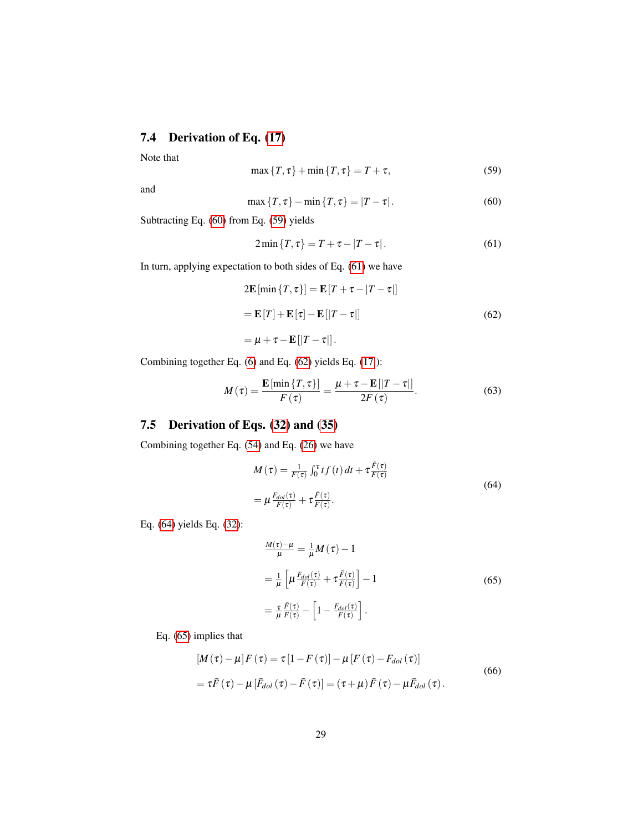# 7.4 Derivation of Eq. [\(17\)](#page-11-3)

<span id="page-28-1"></span>Note that

$$
\max\{T,\tau\} + \min\{T,\tau\} = T + \tau,\tag{59}
$$

<span id="page-28-0"></span>and

$$
\max\{T,\tau\} - \min\{T,\tau\} = |T-\tau|.
$$
 (60)

Subtracting Eq. [\(60\)](#page-28-0) from Eq. [\(59\)](#page-28-1) yields

<span id="page-28-3"></span><span id="page-28-2"></span>
$$
2\min\{T,\tau\} = T + \tau - |T - \tau|.
$$
 (61)

In turn, applying expectation to both sides of Eq. [\(61\)](#page-28-2) we have

$$
2\mathbf{E}[\min\{T,\tau\}] = \mathbf{E}[T+\tau-|T-\tau|]
$$

$$
= \mathbf{E}[T] + \mathbf{E}[\tau] - \mathbf{E}[|T-\tau|]
$$
(62)
$$
= \mu + \tau - \mathbf{E}[|T-\tau|].
$$

Combining together Eq. [\(6\)](#page-8-2) and Eq. [\(62\)](#page-28-3) yields Eq. [\(17](#page-11-3) ):

$$
M(\tau) = \frac{\mathbf{E}\left[\min\left\{T,\tau\right\}\right]}{F(\tau)} = \frac{\mu + \tau - \mathbf{E}\left[\left|T-\tau\right|\right]}{2F(\tau)}.
$$
 (63)

# 7.5 Derivation of Eqs. [\(32\)](#page-18-2) and [\(35\)](#page-19-2)

Combining together Eq. [\(54\)](#page-27-1) and Eq. [\(26\)](#page-17-2) we have

<span id="page-28-4"></span>
$$
M(\tau) = \frac{1}{F(\tau)} \int_0^{\tau} t f(t) dt + \tau \frac{\bar{F}(\tau)}{F(\tau)}
$$
  
=  $\mu \frac{F_{dol}(\tau)}{F(\tau)} + \tau \frac{\bar{F}(\tau)}{F(\tau)}$ . (64)

Eq. [\(64\)](#page-28-4) yields Eq. [\(32\)](#page-18-2):

<span id="page-28-5"></span>
$$
\frac{M(\tau)-\mu}{\mu} = \frac{1}{\mu}M(\tau) - 1
$$

$$
= \frac{1}{\mu} \left[ \mu \frac{F_{dol}(\tau)}{F(\tau)} + \tau \frac{\bar{F}(\tau)}{F(\tau)} \right] - 1
$$

$$
= \frac{\tau}{\mu} \frac{\bar{F}(\tau)}{F(\tau)} - \left[ 1 - \frac{F_{dol}(\tau)}{F(\tau)} \right].
$$
(65)

Eq. [\(65\)](#page-28-5) implies that

<span id="page-28-6"></span>
$$
[M(\tau) - \mu]F(\tau) = \tau[1 - F(\tau)] - \mu[F(\tau) - F_{dol}(\tau)]
$$
  
=  $\tau \bar{F}(\tau) - \mu[\bar{F}_{dol}(\tau) - \bar{F}(\tau)] = (\tau + \mu)\bar{F}(\tau) - \mu \bar{F}_{dol}(\tau).$  (66)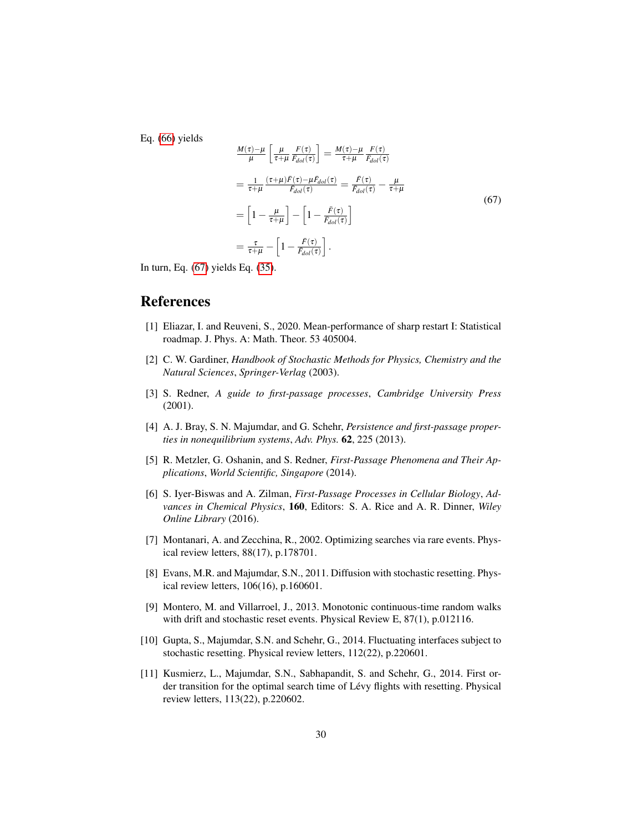Eq. [\(66\)](#page-28-6) yields

<span id="page-29-4"></span>
$$
\frac{M(\tau)-\mu}{\mu}\left[\frac{\mu}{\tau+\mu}\frac{F(\tau)}{\bar{F}_{dol}(\tau)}\right] = \frac{M(\tau)-\mu}{\tau+\mu}\frac{F(\tau)}{\bar{F}_{dol}(\tau)}
$$
\n
$$
=\frac{1}{\tau+\mu}\frac{(\tau+\mu)\bar{F}(\tau)-\mu\bar{F}_{dol}(\tau)}{\bar{F}_{dol}(\tau)} = \frac{\bar{F}(\tau)}{\bar{F}_{dol}(\tau)} - \frac{\mu}{\tau+\mu}
$$
\n
$$
=\left[1-\frac{\mu}{\tau+\mu}\right]-\left[1-\frac{\bar{F}(\tau)}{\bar{F}_{dol}(\tau)}\right]
$$
\n
$$
=\frac{\tau}{\tau+\mu}-\left[1-\frac{\bar{F}(\tau)}{\bar{F}_{dol}(\tau)}\right].
$$
\n(67)

In turn, Eq. [\(67\)](#page-29-4) yields Eq. [\(35\)](#page-19-2).

# References

- <span id="page-29-0"></span>[1] Eliazar, I. and Reuveni, S., 2020. Mean-performance of sharp restart I: Statistical roadmap. J. Phys. A: Math. Theor. 53 405004.
- <span id="page-29-1"></span>[2] C. W. Gardiner, *Handbook of Stochastic Methods for Physics, Chemistry and the Natural Sciences*, *Springer-Verlag* (2003).
- [3] S. Redner, *A guide to first-passage processes*, *Cambridge University Press* (2001).
- [4] A. J. Bray, S. N. Majumdar, and G. Schehr, *Persistence and first-passage properties in nonequilibrium systems*, *Adv. Phys.* 62, 225 (2013).
- [5] R. Metzler, G. Oshanin, and S. Redner, *First-Passage Phenomena and Their Applications*, *World Scientific, Singapore* (2014).
- <span id="page-29-2"></span>[6] S. Iyer-Biswas and A. Zilman, *First-Passage Processes in Cellular Biology*, *Advances in Chemical Physics*, 160, Editors: S. A. Rice and A. R. Dinner, *Wiley Online Library* (2016).
- <span id="page-29-3"></span>[7] Montanari, A. and Zecchina, R., 2002. Optimizing searches via rare events. Physical review letters, 88(17), p.178701.
- [8] Evans, M.R. and Majumdar, S.N., 2011. Diffusion with stochastic resetting. Physical review letters, 106(16), p.160601.
- [9] Montero, M. and Villarroel, J., 2013. Monotonic continuous-time random walks with drift and stochastic reset events. Physical Review E, 87(1), p.012116.
- [10] Gupta, S., Majumdar, S.N. and Schehr, G., 2014. Fluctuating interfaces subject to stochastic resetting. Physical review letters, 112(22), p.220601.
- [11] Kusmierz, L., Majumdar, S.N., Sabhapandit, S. and Schehr, G., 2014. First order transition for the optimal search time of Lévy flights with resetting. Physical review letters, 113(22), p.220602.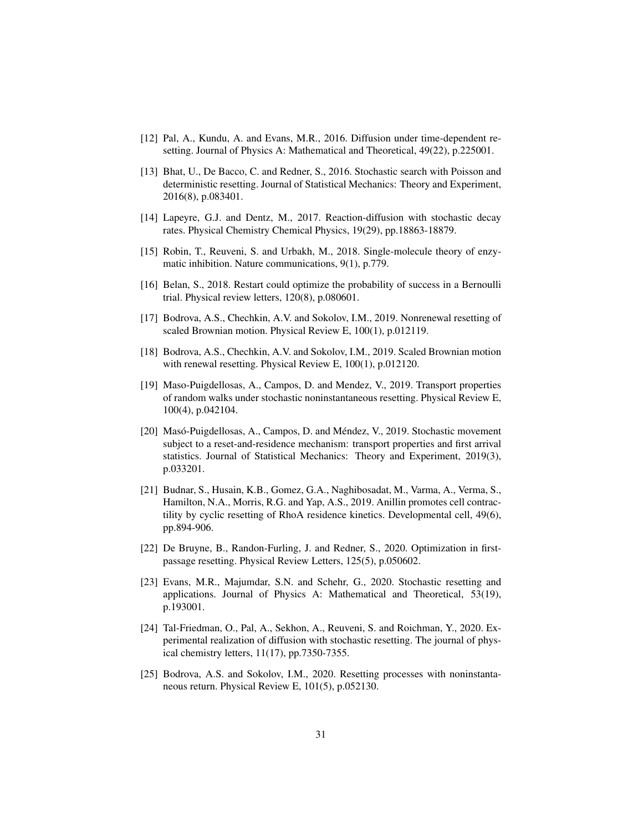- [12] Pal, A., Kundu, A. and Evans, M.R., 2016. Diffusion under time-dependent resetting. Journal of Physics A: Mathematical and Theoretical, 49(22), p.225001.
- [13] Bhat, U., De Bacco, C. and Redner, S., 2016. Stochastic search with Poisson and deterministic resetting. Journal of Statistical Mechanics: Theory and Experiment, 2016(8), p.083401.
- [14] Lapeyre, G.J. and Dentz, M., 2017. Reaction-diffusion with stochastic decay rates. Physical Chemistry Chemical Physics, 19(29), pp.18863-18879.
- [15] Robin, T., Reuveni, S. and Urbakh, M., 2018. Single-molecule theory of enzymatic inhibition. Nature communications, 9(1), p.779.
- [16] Belan, S., 2018. Restart could optimize the probability of success in a Bernoulli trial. Physical review letters, 120(8), p.080601.
- [17] Bodrova, A.S., Chechkin, A.V. and Sokolov, I.M., 2019. Nonrenewal resetting of scaled Brownian motion. Physical Review E, 100(1), p.012119.
- [18] Bodrova, A.S., Chechkin, A.V. and Sokolov, I.M., 2019. Scaled Brownian motion with renewal resetting. Physical Review E, 100(1), p.012120.
- [19] Maso-Puigdellosas, A., Campos, D. and Mendez, V., 2019. Transport properties of random walks under stochastic noninstantaneous resetting. Physical Review E, 100(4), p.042104.
- [20] Masó-Puigdellosas, A., Campos, D. and Méndez, V., 2019. Stochastic movement subject to a reset-and-residence mechanism: transport properties and first arrival statistics. Journal of Statistical Mechanics: Theory and Experiment, 2019(3), p.033201.
- [21] Budnar, S., Husain, K.B., Gomez, G.A., Naghibosadat, M., Varma, A., Verma, S., Hamilton, N.A., Morris, R.G. and Yap, A.S., 2019. Anillin promotes cell contractility by cyclic resetting of RhoA residence kinetics. Developmental cell, 49(6), pp.894-906.
- [22] De Bruyne, B., Randon-Furling, J. and Redner, S., 2020. Optimization in firstpassage resetting. Physical Review Letters, 125(5), p.050602.
- [23] Evans, M.R., Majumdar, S.N. and Schehr, G., 2020. Stochastic resetting and applications. Journal of Physics A: Mathematical and Theoretical, 53(19), p.193001.
- [24] Tal-Friedman, O., Pal, A., Sekhon, A., Reuveni, S. and Roichman, Y., 2020. Experimental realization of diffusion with stochastic resetting. The journal of physical chemistry letters, 11(17), pp.7350-7355.
- [25] Bodrova, A.S. and Sokolov, I.M., 2020. Resetting processes with noninstantaneous return. Physical Review E, 101(5), p.052130.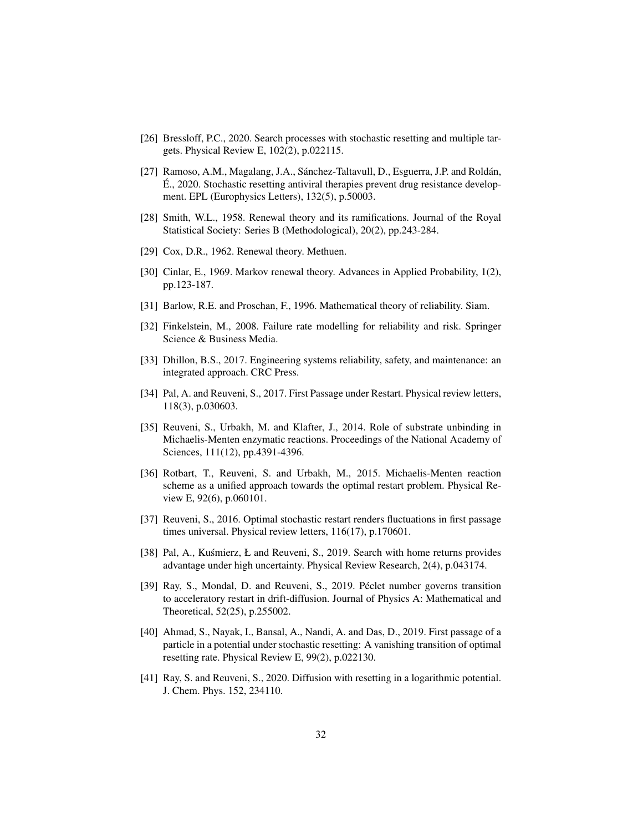- [26] Bressloff, P.C., 2020. Search processes with stochastic resetting and multiple targets. Physical Review E, 102(2), p.022115.
- <span id="page-31-0"></span>[27] Ramoso, A.M., Magalang, J.A., Sánchez-Taltavull, D., Esguerra, J.P. and Roldán, E., 2020. Stochastic resetting antiviral therapies prevent drug resistance develop- ´ ment. EPL (Europhysics Letters), 132(5), p.50003.
- <span id="page-31-1"></span>[28] Smith, W.L., 1958. Renewal theory and its ramifications. Journal of the Royal Statistical Society: Series B (Methodological), 20(2), pp.243-284.
- [29] Cox, D.R., 1962. Renewal theory. Methuen.
- <span id="page-31-2"></span>[30] Cinlar, E., 1969. Markov renewal theory. Advances in Applied Probability, 1(2), pp.123-187.
- <span id="page-31-3"></span>[31] Barlow, R.E. and Proschan, F., 1996. Mathematical theory of reliability. Siam.
- [32] Finkelstein, M., 2008. Failure rate modelling for reliability and risk. Springer Science & Business Media.
- <span id="page-31-4"></span>[33] Dhillon, B.S., 2017. Engineering systems reliability, safety, and maintenance: an integrated approach. CRC Press.
- <span id="page-31-5"></span>[34] Pal, A. and Reuveni, S., 2017. First Passage under Restart. Physical review letters, 118(3), p.030603.
- [35] Reuveni, S., Urbakh, M. and Klafter, J., 2014. Role of substrate unbinding in Michaelis-Menten enzymatic reactions. Proceedings of the National Academy of Sciences, 111(12), pp.4391-4396.
- [36] Rotbart, T., Reuveni, S. and Urbakh, M., 2015. Michaelis-Menten reaction scheme as a unified approach towards the optimal restart problem. Physical Review E, 92(6), p.060101.
- [37] Reuveni, S., 2016. Optimal stochastic restart renders fluctuations in first passage times universal. Physical review letters, 116(17), p.170601.
- [38] Pal, A., Kuśmierz, Ł and Reuveni, S., 2019. Search with home returns provides advantage under high uncertainty. Physical Review Research, 2(4), p.043174.
- [39] Ray, S., Mondal, D. and Reuveni, S., 2019. Péclet number governs transition to acceleratory restart in drift-diffusion. Journal of Physics A: Mathematical and Theoretical, 52(25), p.255002.
- [40] Ahmad, S., Nayak, I., Bansal, A., Nandi, A. and Das, D., 2019. First passage of a particle in a potential under stochastic resetting: A vanishing transition of optimal resetting rate. Physical Review E, 99(2), p.022130.
- <span id="page-31-6"></span>[41] Ray, S. and Reuveni, S., 2020. Diffusion with resetting in a logarithmic potential. J. Chem. Phys. 152, 234110.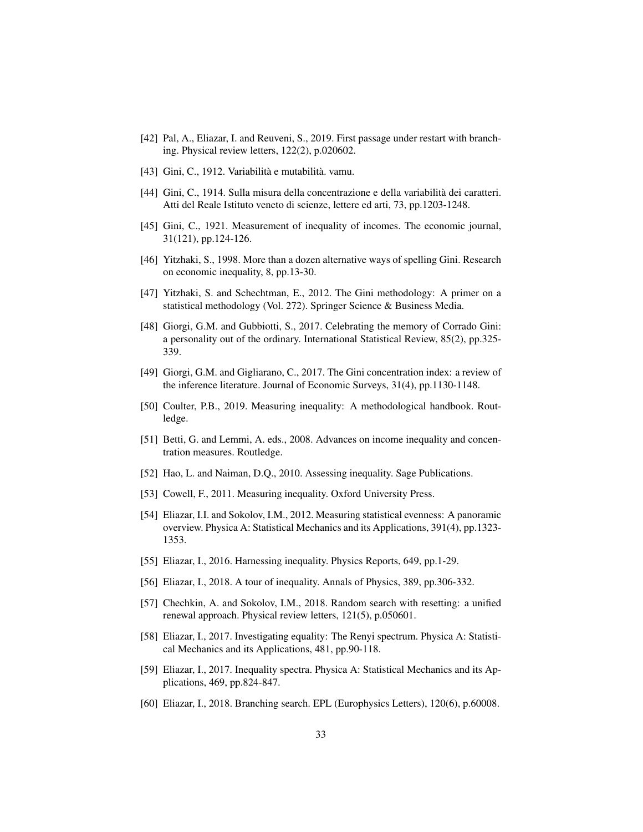- <span id="page-32-0"></span>[42] Pal, A., Eliazar, I. and Reuveni, S., 2019. First passage under restart with branching. Physical review letters, 122(2), p.020602.
- <span id="page-32-1"></span>[43] Gini, C., 1912. Variabilità e mutabilità. vamu.
- [44] Gini, C., 1914. Sulla misura della concentrazione e della variabilita dei caratteri. ` Atti del Reale Istituto veneto di scienze, lettere ed arti, 73, pp.1203-1248.
- [45] Gini, C., 1921. Measurement of inequality of incomes. The economic journal, 31(121), pp.124-126.
- [46] Yitzhaki, S., 1998. More than a dozen alternative ways of spelling Gini. Research on economic inequality, 8, pp.13-30.
- <span id="page-32-10"></span>[47] Yitzhaki, S. and Schechtman, E., 2012. The Gini methodology: A primer on a statistical methodology (Vol. 272). Springer Science & Business Media.
- [48] Giorgi, G.M. and Gubbiotti, S., 2017. Celebrating the memory of Corrado Gini: a personality out of the ordinary. International Statistical Review, 85(2), pp.325- 339.
- <span id="page-32-2"></span>[49] Giorgi, G.M. and Gigliarano, C., 2017. The Gini concentration index: a review of the inference literature. Journal of Economic Surveys, 31(4), pp.1130-1148.
- <span id="page-32-3"></span>[50] Coulter, P.B., 2019. Measuring inequality: A methodological handbook. Routledge.
- [51] Betti, G. and Lemmi, A. eds., 2008. Advances on income inequality and concentration measures. Routledge.
- [52] Hao, L. and Naiman, D.Q., 2010. Assessing inequality. Sage Publications.
- <span id="page-32-4"></span>[53] Cowell, F., 2011. Measuring inequality. Oxford University Press.
- <span id="page-32-5"></span>[54] Eliazar, I.I. and Sokolov, I.M., 2012. Measuring statistical evenness: A panoramic overview. Physica A: Statistical Mechanics and its Applications, 391(4), pp.1323- 1353.
- <span id="page-32-7"></span>[55] Eliazar, I., 2016. Harnessing inequality. Physics Reports, 649, pp.1-29.
- <span id="page-32-6"></span>[56] Eliazar, I., 2018. A tour of inequality. Annals of Physics, 389, pp.306-332.
- <span id="page-32-8"></span>[57] Chechkin, A. and Sokolov, I.M., 2018. Random search with resetting: a unified renewal approach. Physical review letters, 121(5), p.050601.
- <span id="page-32-9"></span>[58] Eliazar, I., 2017. Investigating equality: The Renyi spectrum. Physica A: Statistical Mechanics and its Applications, 481, pp.90-118.
- [59] Eliazar, I., 2017. Inequality spectra. Physica A: Statistical Mechanics and its Applications, 469, pp.824-847.
- [60] Eliazar, I., 2018. Branching search. EPL (Europhysics Letters), 120(6), p.60008.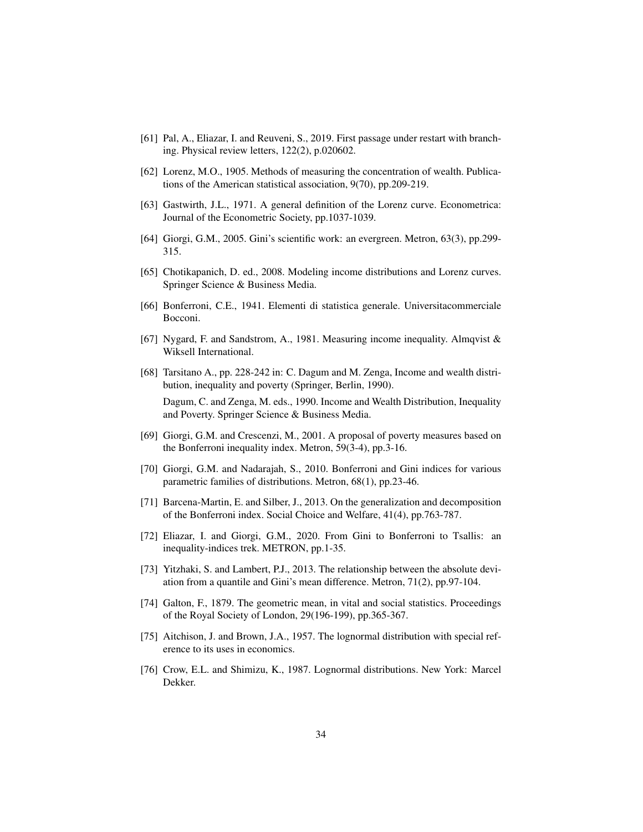- [61] Pal, A., Eliazar, I. and Reuveni, S., 2019. First passage under restart with branching. Physical review letters, 122(2), p.020602.
- <span id="page-33-0"></span>[62] Lorenz, M.O., 1905. Methods of measuring the concentration of wealth. Publications of the American statistical association, 9(70), pp.209-219.
- [63] Gastwirth, J.L., 1971. A general definition of the Lorenz curve. Econometrica: Journal of the Econometric Society, pp.1037-1039.
- [64] Giorgi, G.M., 2005. Gini's scientific work: an evergreen. Metron, 63(3), pp.299- 315.
- <span id="page-33-1"></span>[65] Chotikapanich, D. ed., 2008. Modeling income distributions and Lorenz curves. Springer Science & Business Media.
- <span id="page-33-2"></span>[66] Bonferroni, C.E., 1941. Elementi di statistica generale. Universitacommerciale Bocconi.
- [67] Nygard, F. and Sandstrom, A., 1981. Measuring income inequality. Almqvist & Wiksell International.
- [68] Tarsitano A., pp. 228-242 in: C. Dagum and M. Zenga, Income and wealth distribution, inequality and poverty (Springer, Berlin, 1990). Dagum, C. and Zenga, M. eds., 1990. Income and Wealth Distribution, Inequality

and Poverty. Springer Science & Business Media.

- [69] Giorgi, G.M. and Crescenzi, M., 2001. A proposal of poverty measures based on the Bonferroni inequality index. Metron, 59(3-4), pp.3-16.
- [70] Giorgi, G.M. and Nadarajah, S., 2010. Bonferroni and Gini indices for various parametric families of distributions. Metron, 68(1), pp.23-46.
- [71] Barcena-Martin, E. and Silber, J., 2013. On the generalization and decomposition of the Bonferroni index. Social Choice and Welfare, 41(4), pp.763-787.
- <span id="page-33-3"></span>[72] Eliazar, I. and Giorgi, G.M., 2020. From Gini to Bonferroni to Tsallis: an inequality-indices trek. METRON, pp.1-35.
- <span id="page-33-4"></span>[73] Yitzhaki, S. and Lambert, P.J., 2013. The relationship between the absolute deviation from a quantile and Gini's mean difference. Metron, 71(2), pp.97-104.
- <span id="page-33-5"></span>[74] Galton, F., 1879. The geometric mean, in vital and social statistics. Proceedings of the Royal Society of London, 29(196-199), pp.365-367.
- [75] Aitchison, J. and Brown, J.A., 1957. The lognormal distribution with special reference to its uses in economics.
- [76] Crow, E.L. and Shimizu, K., 1987. Lognormal distributions. New York: Marcel Dekker.